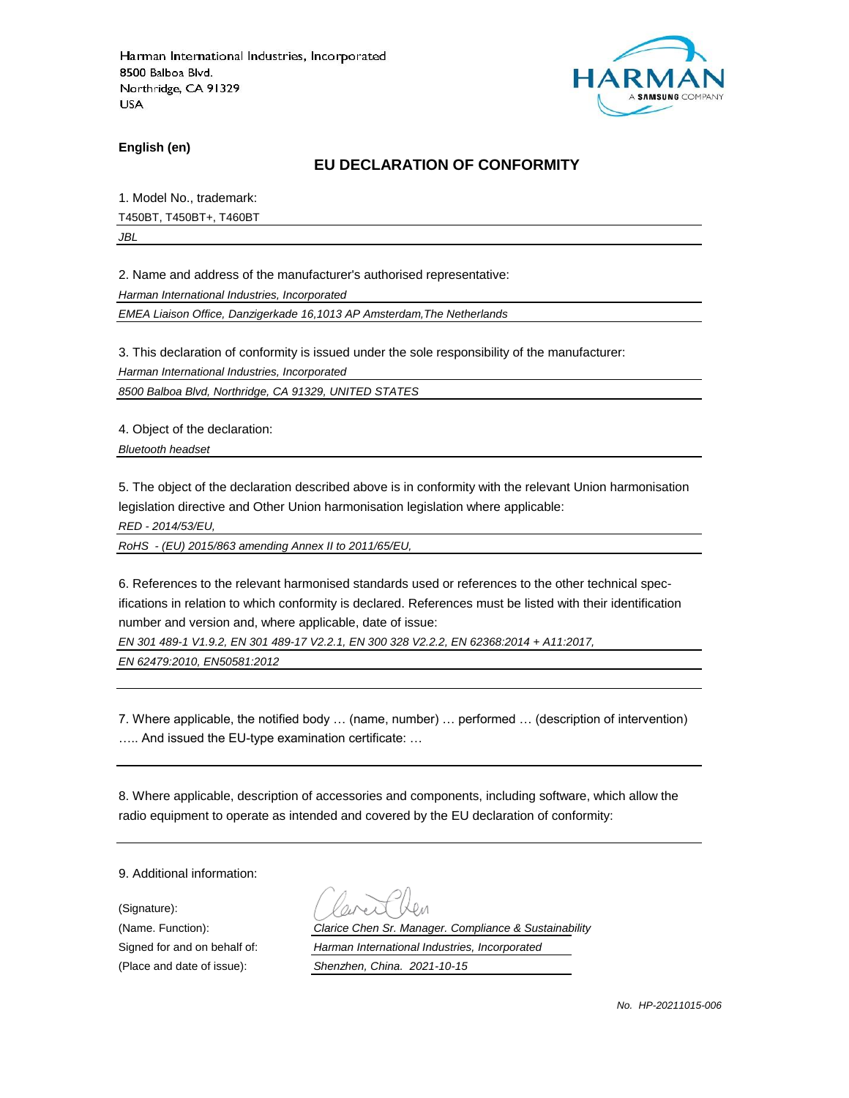

**English (en)**

#### **EU DECLARATION OF CONFORMITY**

1. Model No., trademark: T450BT, T450BT+, T460BT

*JBL*

2. Name and address of the manufacturer's authorised representative:

*Harman International Industries, Incorporated*

*EMEA Liaison Office, Danzigerkade 16,1013 AP Amsterdam,The Netherlands*

3. This declaration of conformity is issued under the sole responsibility of the manufacturer:

*Harman International Industries, Incorporated*

*8500 Balboa Blvd, Northridge, CA 91329, UNITED STATES*

4. Object of the declaration:

*Bluetooth headset*

5. The object of the declaration described above is in conformity with the relevant Union harmonisation legislation directive and Other Union harmonisation legislation where applicable:

*RED - 2014/53/EU,*

*RoHS - (EU) 2015/863 amending Annex II to 2011/65/EU,*

6. References to the relevant harmonised standards used or references to the other technical specifications in relation to which conformity is declared. References must be listed with their identification number and version and, where applicable, date of issue:

*EN 301 489-1 V1.9.2, EN 301 489-17 V2.2.1, EN 300 328 V2.2.2, EN 62368:2014 + A11:2017,* 

*EN 62479:2010, EN50581:2012*

7. Where applicable, the notified body … (name, number) … performed … (description of intervention) ….. And issued the EU-type examination certificate: …

8. Where applicable, description of accessories and components, including software, which allow the radio equipment to operate as intended and covered by the EU declaration of conformity:

9. Additional information:

(Signature): (Place and date of issue): *Shenzhen, China. 2021-10-15*

(Name. Function): *Clarice Chen Sr. Manager. Compliance & Sustainability* Signed for and on behalf of: *Harman International Industries, Incorporated*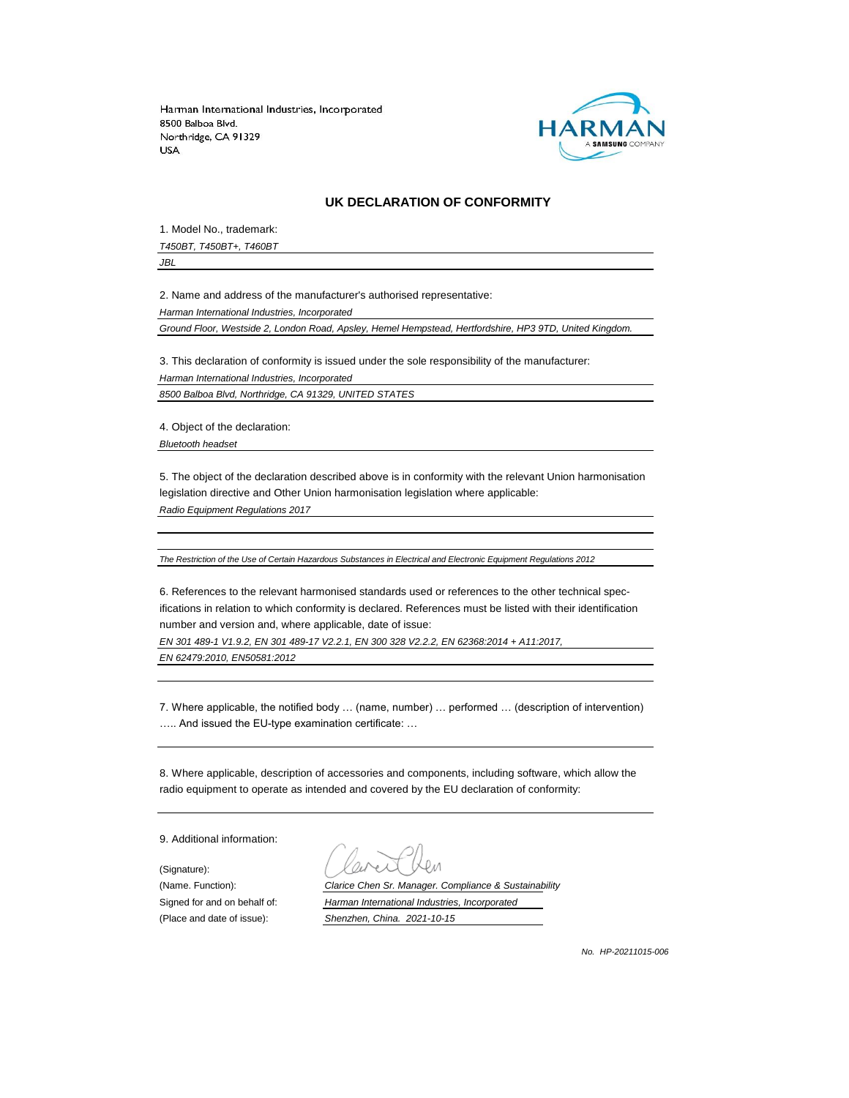

#### **UK DECLARATION OF CONFORMITY**

1. Model No., trademark:

*T450BT, T450BT+, T460BT*

*JBL*

2. Name and address of the manufacturer's authorised representative:

*Harman International Industries, Incorporated*

*Ground Floor, Westside 2, London Road, Apsley, Hemel Hempstead, Hertfordshire, HP3 9TD, United Kingdom.*

3. This declaration of conformity is issued under the sole responsibility of the manufacturer: *Harman International Industries, Incorporated 8500 Balboa Blvd, Northridge, CA 91329, UNITED STATES*

4. Object of the declaration:

*Bluetooth headset*

5. The object of the declaration described above is in conformity with the relevant Union harmonisation legislation directive and Other Union harmonisation legislation where applicable:

*Radio Equipment Regulations 2017*

*The Restriction of the Use of Certain Hazardous Substances in Electrical and Electronic Equipment Regulations 2012*

6. References to the relevant harmonised standards used or references to the other technical specifications in relation to which conformity is declared. References must be listed with their identification number and version and, where applicable, date of issue:

*EN 301 489-1 V1.9.2, EN 301 489-17 V2.2.1, EN 300 328 V2.2.2, EN 62368:2014 + A11:2017, EN 62479:2010, EN50581:2012*

7. Where applicable, the notified body … (name, number) … performed … (description of intervention) ….. And issued the EU-type examination certificate: …

8. Where applicable, description of accessories and components, including software, which allow the radio equipment to operate as intended and covered by the EU declaration of conformity:

9. Additional information:

(Signature):

(Name. Function): *Clarice Chen Sr. Manager. Compliance & Sustainability* Signed for and on behalf of: *Harman International Industries, Incorporated* (Place and date of issue): *Shenzhen, China. 2021-10-15*

*No. HP-20211015-006*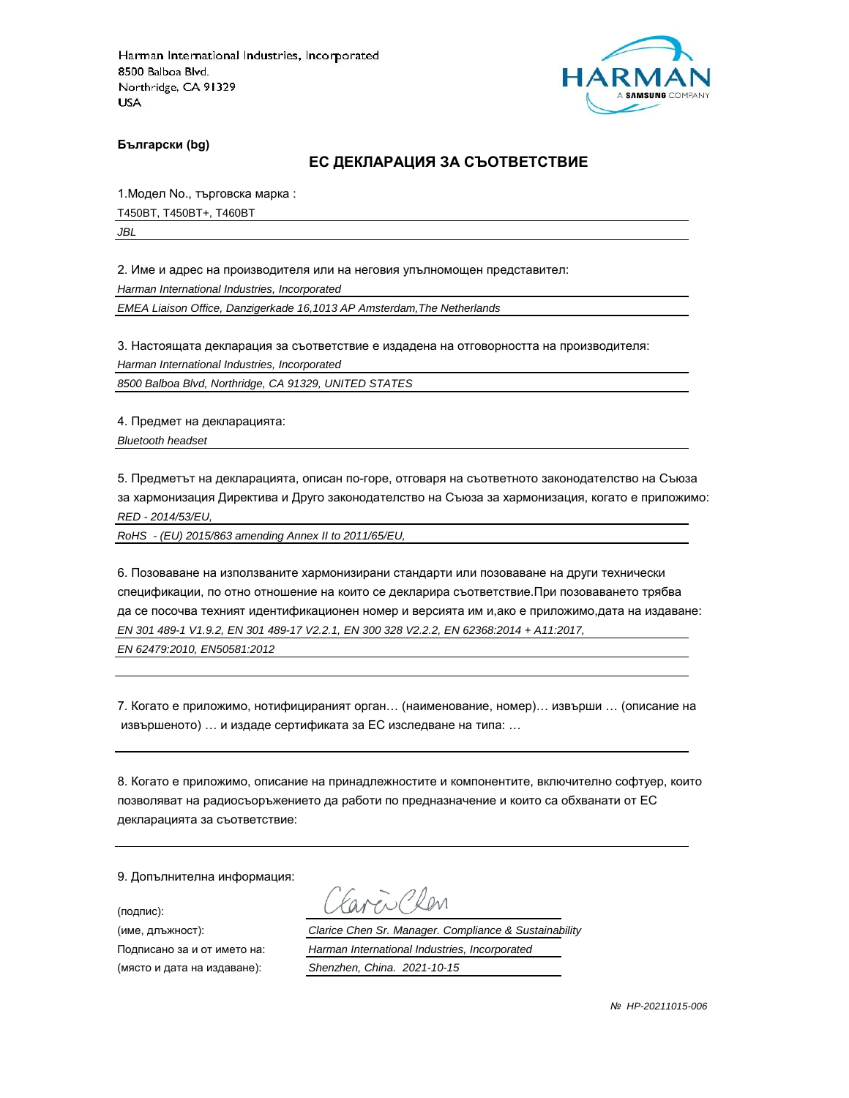

**Български (bg)**

#### **ЕС ДЕКЛАРАЦИЯ ЗА СЪОТВЕТСТВИЕ**

1.Модел No., търговска марка :

T450BT, T450BT+, T460BT

*JBL*

2. Име и адрес на производителя или на неговия упълномощен представител:

*Harman International Industries, Incorporated*

*EMEA Liaison Office, Danzigerkade 16,1013 AP Amsterdam,The Netherlands*

3. Настоящата декларация за съответствие е издадена на отговорността на производителя:

*Harman International Industries, Incorporated*

*8500 Balboa Blvd, Northridge, CA 91329, UNITED STATES*

4. Предмет на декларацията:

*Bluetooth headset*

5. Предметът на декларацията, описан по-горе, отговаря на съответното законодателство на Съюза за хармонизация Директива и Друго законодателство на Съюза за хармонизация, когато е приложимо: *RED - 2014/53/EU,*

*RoHS - (EU) 2015/863 amending Annex II to 2011/65/EU,*

6. Позоваване на използваните хармонизирани стандарти или позоваване на други технически спецификации, по отно отношение на които се декларира съответствие.При позоваването трябва да се посочва техният идентификационен номер и версията им и,ако е приложимо,дата на издаване: *EN 301 489-1 V1.9.2, EN 301 489-17 V2.2.1, EN 300 328 V2.2.2, EN 62368:2014 + A11:2017,* 

*EN 62479:2010, EN50581:2012*

7. Когато е приложимо, нотифицираният орган… (наименование, номер)… извърши … (описание на извършеното) … и издаде сертификата за ЕС изследване на типа: …

8. Когато е приложимо, описание на принадлежностите и компонентите, включително софтуер, които позволяват на радиосъоръжението да работи по предназначение и които са обхванати от ЕС декларацията за съответствие:

9. Допълнителна информация:

(подпис):

(място и дата на издаване): *Shenzhen, China. 2021-10-15*

aren Chen

(име, длъжност): *Clarice Chen Sr. Manager. Compliance & Sustainability*

Подписано за и от името на: *Harman International Industries, Incorporated*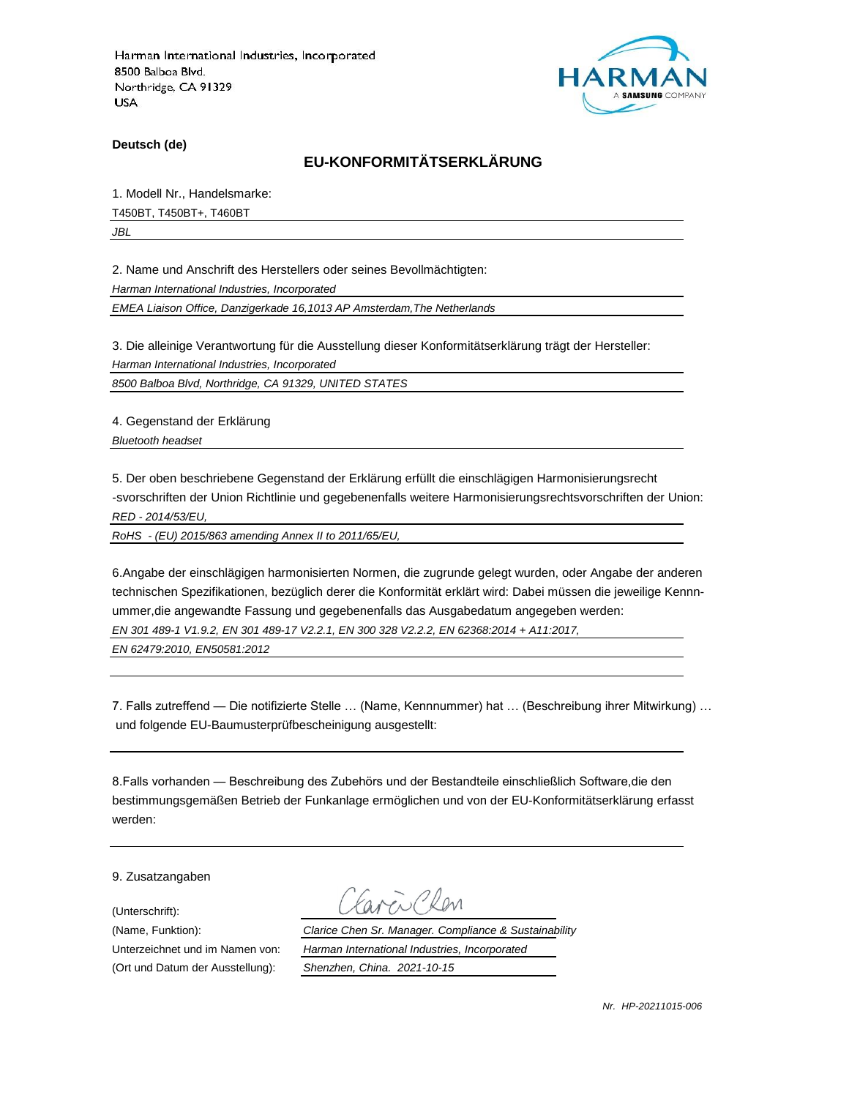

**Deutsch (de)**

## **EU-KONFORMITÄTSERKLÄRUNG**

1. Modell Nr., Handelsmarke:

T450BT, T450BT+, T460BT

*JBL*

2. Name und Anschrift des Herstellers oder seines Bevollmächtigten:

*Harman International Industries, Incorporated*

*EMEA Liaison Office, Danzigerkade 16,1013 AP Amsterdam,The Netherlands*

3. Die alleinige Verantwortung für die Ausstellung dieser Konformitätserklärung trägt der Hersteller:

*Harman International Industries, Incorporated*

*8500 Balboa Blvd, Northridge, CA 91329, UNITED STATES*

4. Gegenstand der Erklärung

*Bluetooth headset*

5. Der oben beschriebene Gegenstand der Erklärung erfüllt die einschlägigen Harmonisierungsrecht -svorschriften der Union Richtlinie und gegebenenfalls weitere Harmonisierungsrechtsvorschriften der Union: *RED - 2014/53/EU,*

*RoHS - (EU) 2015/863 amending Annex II to 2011/65/EU,*

6.Angabe der einschlägigen harmonisierten Normen, die zugrunde gelegt wurden, oder Angabe der anderen technischen Spezifikationen, bezüglich derer die Konformität erklärt wird: Dabei müssen die jeweilige Kennnummer,die angewandte Fassung und gegebenenfalls das Ausgabedatum angegeben werden: *EN 301 489-1 V1.9.2, EN 301 489-17 V2.2.1, EN 300 328 V2.2.2, EN 62368:2014 + A11:2017,* 

*EN 62479:2010, EN50581:2012*

7. Falls zutreffend — Die notifizierte Stelle … (Name, Kennnummer) hat … (Beschreibung ihrer Mitwirkung) … und folgende EU-Baumusterprüfbescheinigung ausgestellt:

8.Falls vorhanden — Beschreibung des Zubehörs und der Bestandteile einschließlich Software,die den bestimmungsgemäßen Betrieb der Funkanlage ermöglichen und von der EU-Konformitätserklärung erfasst werden:

9. Zusatzangaben

(Unterschrift):

(Name, Funktion): *Clarice Chen Sr. Manager. Compliance & Sustainability* Unterzeichnet und im Namen von: *Harman International Industries, Incorporated* (Ort und Datum der Ausstellung): *Shenzhen, China. 2021-10-15*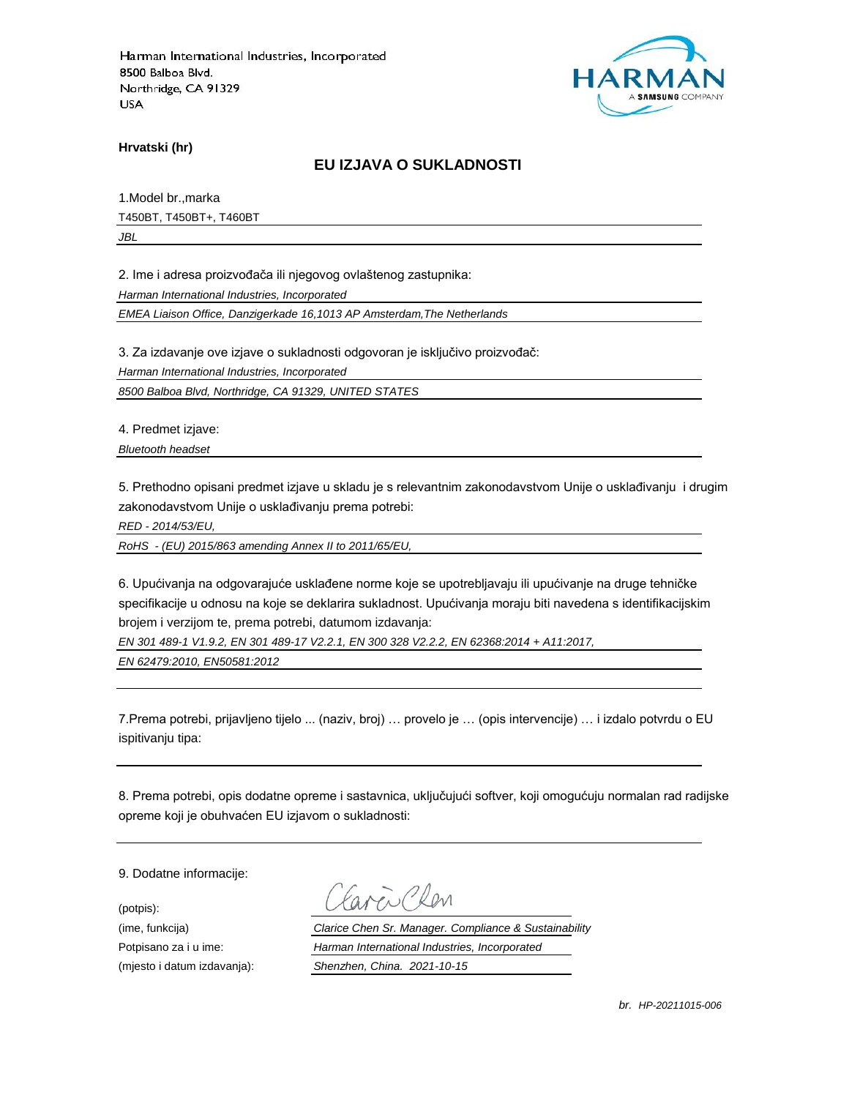

**Hrvatski (hr)**

### **EU IZJAVA O SUKLADNOSTI**

1.Model br.,marka T450BT, T450BT+, T460BT *JBL*

2. Ime i adresa proizvođača ili njegovog ovlaštenog zastupnika:

*Harman International Industries, Incorporated*

*EMEA Liaison Office, Danzigerkade 16,1013 AP Amsterdam,The Netherlands*

3. Za izdavanje ove izjave o sukladnosti odgovoran je isključivo proizvođač:

*Harman International Industries, Incorporated*

*8500 Balboa Blvd, Northridge, CA 91329, UNITED STATES*

4. Predmet izjave:

*Bluetooth headset*

5. Prethodno opisani predmet izjave u skladu je s relevantnim zakonodavstvom Unije o usklađivanju i drugim zakonodavstvom Unije o usklađivanju prema potrebi:

*RED - 2014/53/EU,*

*RoHS - (EU) 2015/863 amending Annex II to 2011/65/EU,*

6. Upućivanja na odgovarajuće usklađene norme koje se upotrebljavaju ili upućivanje na druge tehničke specifikacije u odnosu na koje se deklarira sukladnost. Upućivanja moraju biti navedena s identifikacijskim brojem i verzijom te, prema potrebi, datumom izdavanja:

*EN 301 489-1 V1.9.2, EN 301 489-17 V2.2.1, EN 300 328 V2.2.2, EN 62368:2014 + A11:2017,* 

*EN 62479:2010, EN50581:2012*

7.Prema potrebi, prijavljeno tijelo ... (naziv, broj) … provelo je … (opis intervencije) … i izdalo potvrdu o EU ispitivanju tipa:

8. Prema potrebi, opis dodatne opreme i sastavnica, uključujući softver, koji omogućuju normalan rad radijske opreme koji je obuhvaćen EU izjavom o sukladnosti:

9. Dodatne informacije:

(potpis):

(ime, funkcija) *Clarice Chen Sr. Manager. Compliance & Sustainability* Potpisano za i u ime: *Harman International Industries, Incorporated* (mjesto i datum izdavanja): *Shenzhen, China. 2021-10-15*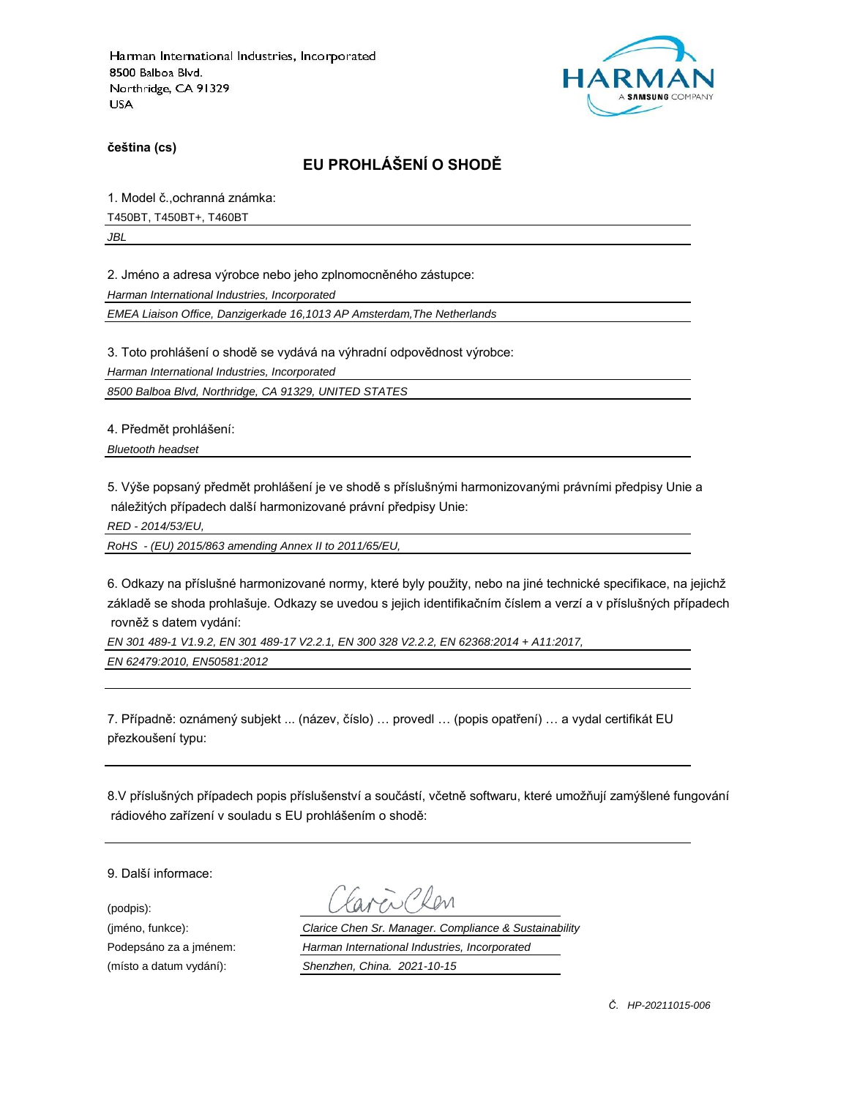

**čeština (cs)**

# **EU PROHLÁŠENÍ O SHODĚ**

1. Model č.,ochranná známka:

T450BT, T450BT+, T460BT

*JBL*

2. Jméno a adresa výrobce nebo jeho zplnomocněného zástupce:

*Harman International Industries, Incorporated*

*EMEA Liaison Office, Danzigerkade 16,1013 AP Amsterdam,The Netherlands*

3. Toto prohlášení o shodě se vydává na výhradní odpovědnost výrobce:

*Harman International Industries, Incorporated*

*8500 Balboa Blvd, Northridge, CA 91329, UNITED STATES*

4. Předmět prohlášení:

*Bluetooth headset*

5. Výše popsaný předmět prohlášení je ve shodě s příslušnými harmonizovanými právními předpisy Unie a náležitých případech další harmonizované právní předpisy Unie:

*RED - 2014/53/EU,*

*RoHS - (EU) 2015/863 amending Annex II to 2011/65/EU,*

6. Odkazy na příslušné harmonizované normy, které byly použity, nebo na jiné technické specifikace, na jejichž základě se shoda prohlašuje. Odkazy se uvedou s jejich identifikačním číslem a verzí a v příslušných případech rovněž s datem vydání:

*EN 301 489-1 V1.9.2, EN 301 489-17 V2.2.1, EN 300 328 V2.2.2, EN 62368:2014 + A11:2017,* 

*EN 62479:2010, EN50581:2012*

7. Případně: oznámený subjekt ... (název, číslo) … provedl … (popis opatření) … a vydal certifikát EU přezkoušení typu:

8.V příslušných případech popis příslušenství a součástí, včetně softwaru, které umožňují zamýšlené fungování rádiového zařízení v souladu s EU prohlášením o shodě:

9. Další informace:

(podpis):

(jméno, funkce): *Clarice Chen Sr. Manager. Compliance & Sustainability* Podepsáno za a jménem: *Harman International Industries, Incorporated* (místo a datum vydání): *Shenzhen, China. 2021-10-15*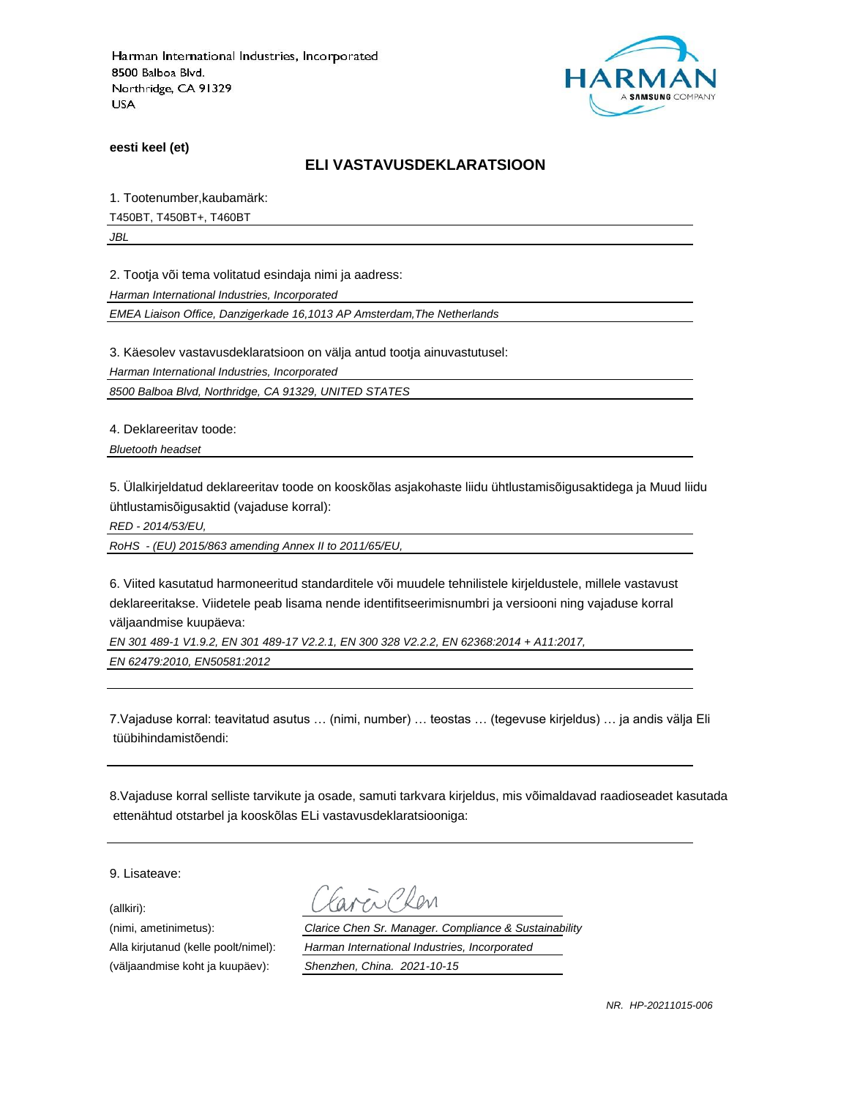

**eesti keel (et)**

#### **ELI VASTAVUSDEKLARATSIOON**

1. Tootenumber,kaubamärk:

T450BT, T450BT+, T460BT

*JBL*

2. Tootja või tema volitatud esindaja nimi ja aadress:

*Harman International Industries, Incorporated*

*EMEA Liaison Office, Danzigerkade 16,1013 AP Amsterdam,The Netherlands*

3. Käesolev vastavusdeklaratsioon on välja antud tootja ainuvastutusel:

*Harman International Industries, Incorporated*

*8500 Balboa Blvd, Northridge, CA 91329, UNITED STATES*

4. Deklareeritav toode:

*Bluetooth headset*

5. Ülalkirjeldatud deklareeritav toode on kooskõlas asjakohaste liidu ühtlustamisõigusaktidega ja Muud liidu ühtlustamisõigusaktid (vajaduse korral):

*RED - 2014/53/EU,*

*RoHS - (EU) 2015/863 amending Annex II to 2011/65/EU,*

6. Viited kasutatud harmoneeritud standarditele või muudele tehnilistele kirjeldustele, millele vastavust deklareeritakse. Viidetele peab lisama nende identifitseerimisnumbri ja versiooni ning vajaduse korral väljaandmise kuupäeva:

*EN 301 489-1 V1.9.2, EN 301 489-17 V2.2.1, EN 300 328 V2.2.2, EN 62368:2014 + A11:2017,* 

*EN 62479:2010, EN50581:2012*

7.Vajaduse korral: teavitatud asutus … (nimi, number) … teostas … (tegevuse kirjeldus) … ja andis välja Eli tüübihindamistõendi:

8.Vajaduse korral selliste tarvikute ja osade, samuti tarkvara kirjeldus, mis võimaldavad raadioseadet kasutada ettenähtud otstarbel ja kooskõlas ELi vastavusdeklaratsiooniga:

9. Lisateave:

(allkiri):

(nimi, ametinimetus): *Clarice Chen Sr. Manager. Compliance & Sustainability* Alla kirjutanud (kelle poolt/nimel): *Harman International Industries, Incorporated* (väljaandmise koht ja kuupäev): *Shenzhen, China. 2021-10-15*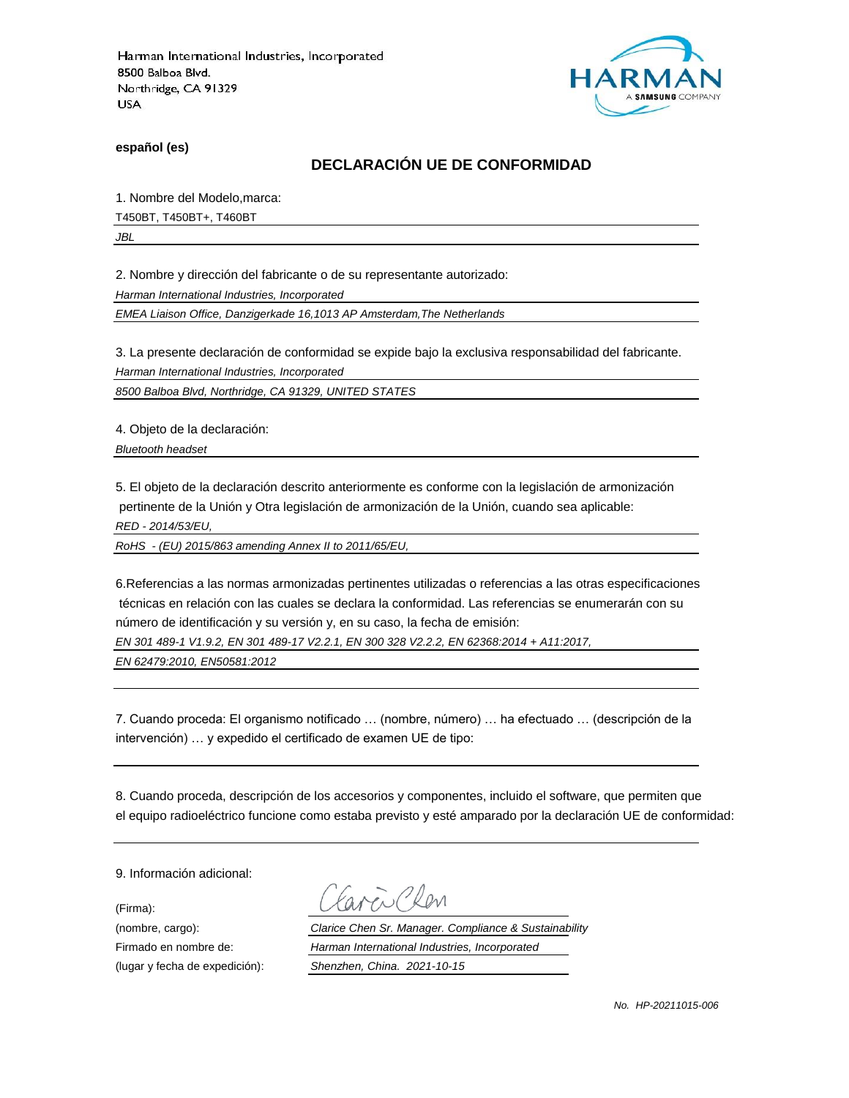

**español (es)**

## **DECLARACIÓN UE DE CONFORMIDAD**

1. Nombre del Modelo,marca:

T450BT, T450BT+, T460BT

*JBL*

2. Nombre y dirección del fabricante o de su representante autorizado:

*Harman International Industries, Incorporated*

*EMEA Liaison Office, Danzigerkade 16,1013 AP Amsterdam,The Netherlands*

3. La presente declaración de conformidad se expide bajo la exclusiva responsabilidad del fabricante.

*Harman International Industries, Incorporated*

*8500 Balboa Blvd, Northridge, CA 91329, UNITED STATES*

4. Objeto de la declaración:

*Bluetooth headset*

5. El objeto de la declaración descrito anteriormente es conforme con la legislación de armonización pertinente de la Unión y Otra legislación de armonización de la Unión, cuando sea aplicable:

*RED - 2014/53/EU,*

*RoHS - (EU) 2015/863 amending Annex II to 2011/65/EU,*

6.Referencias a las normas armonizadas pertinentes utilizadas o referencias a las otras especificaciones técnicas en relación con las cuales se declara la conformidad. Las referencias se enumerarán con su número de identificación y su versión y, en su caso, la fecha de emisión:

*EN 301 489-1 V1.9.2, EN 301 489-17 V2.2.1, EN 300 328 V2.2.2, EN 62368:2014 + A11:2017,* 

*EN 62479:2010, EN50581:2012*

7. Cuando proceda: El organismo notificado … (nombre, número) … ha efectuado … (descripción de la intervención) … y expedido el certificado de examen UE de tipo:

8. Cuando proceda, descripción de los accesorios y componentes, incluido el software, que permiten que el equipo radioeléctrico funcione como estaba previsto y esté amparado por la declaración UE de conformidad:

9. Información adicional:

(Firma):

Plen

(nombre, cargo): *Clarice Chen Sr. Manager. Compliance & Sustainability* Firmado en nombre de: *Harman International Industries, Incorporated* (lugar y fecha de expedición): *Shenzhen, China. 2021-10-15*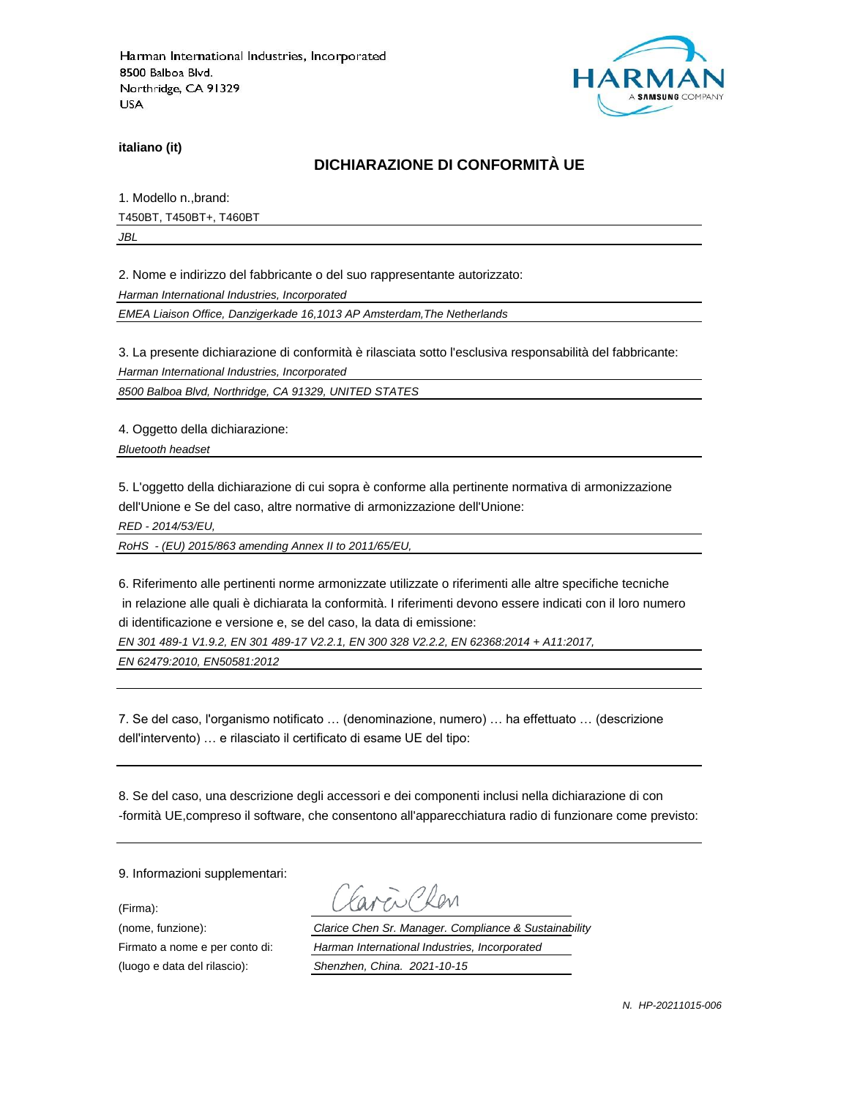

**italiano (it)**

## **DICHIARAZIONE DI CONFORMITÀ UE**

1. Modello n.,brand: T450BT, T450BT+, T460BT *JBL*

2. Nome e indirizzo del fabbricante o del suo rappresentante autorizzato:

*Harman International Industries, Incorporated*

*EMEA Liaison Office, Danzigerkade 16,1013 AP Amsterdam,The Netherlands*

3. La presente dichiarazione di conformità è rilasciata sotto l'esclusiva responsabilità del fabbricante:

*Harman International Industries, Incorporated*

*8500 Balboa Blvd, Northridge, CA 91329, UNITED STATES*

4. Oggetto della dichiarazione:

*Bluetooth headset*

5. L'oggetto della dichiarazione di cui sopra è conforme alla pertinente normativa di armonizzazione dell'Unione e Se del caso, altre normative di armonizzazione dell'Unione:

*RED - 2014/53/EU,*

*RoHS - (EU) 2015/863 amending Annex II to 2011/65/EU,*

6. Riferimento alle pertinenti norme armonizzate utilizzate o riferimenti alle altre specifiche tecniche in relazione alle quali è dichiarata la conformità. I riferimenti devono essere indicati con il loro numero di identificazione e versione e, se del caso, la data di emissione:

*EN 301 489-1 V1.9.2, EN 301 489-17 V2.2.1, EN 300 328 V2.2.2, EN 62368:2014 + A11:2017,* 

*EN 62479:2010, EN50581:2012*

7. Se del caso, l'organismo notificato … (denominazione, numero) … ha effettuato … (descrizione dell'intervento) … e rilasciato il certificato di esame UE del tipo:

8. Se del caso, una descrizione degli accessori e dei componenti inclusi nella dichiarazione di con -formità UE,compreso il software, che consentono all'apparecchiatura radio di funzionare come previsto:

9. Informazioni supplementari:

(Firma):

(luogo e data del rilascio): *Shenzhen, China. 2021-10-15*

i Plan

(nome, funzione): *Clarice Chen Sr. Manager. Compliance & Sustainability* Firmato a nome e per conto di: *Harman International Industries, Incorporated*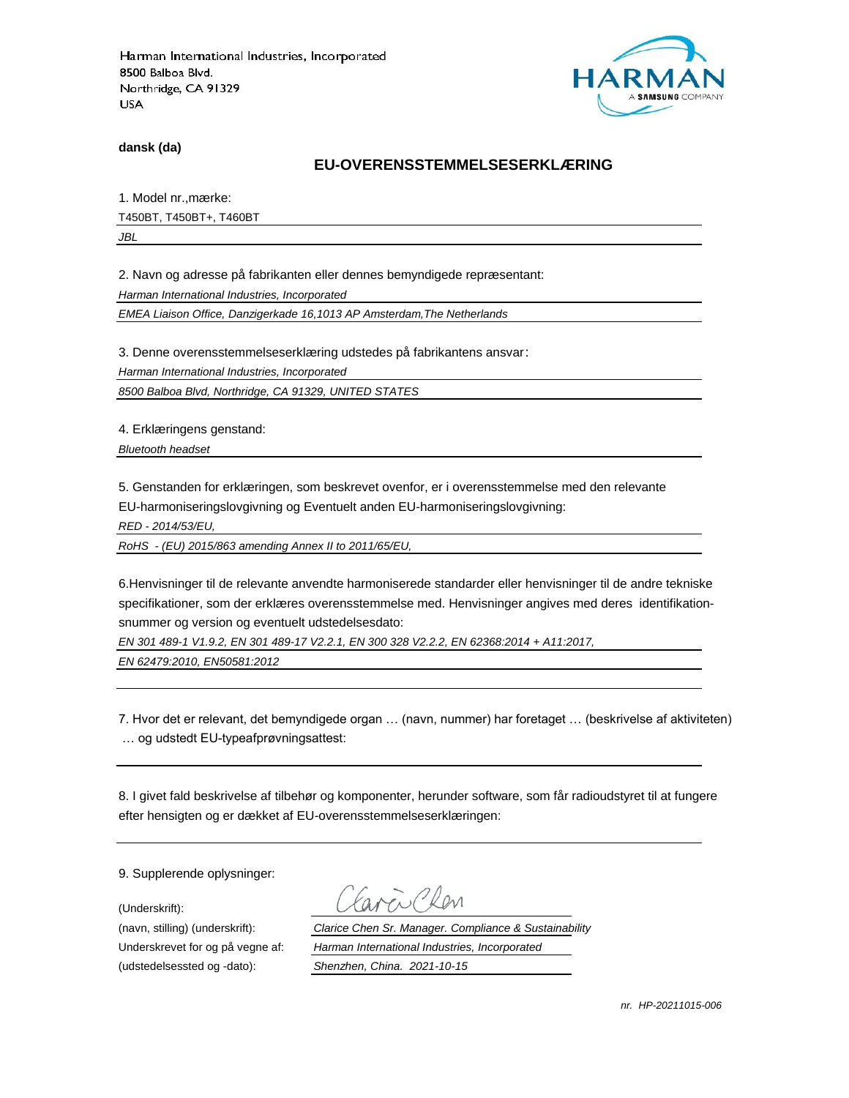

**dansk (da)**

### **EU-OVERENSSTEMMELSESERKLÆ RING**

1. Model nr., mærke: T450BT, T450BT+, T460BT

*JBL*

2. Navn og adresse på fabrikanten eller dennes bemyndigede repræ sentant:

*Harman International Industries, Incorporated*

*EMEA Liaison Office, Danzigerkade 16,1013 AP Amsterdam,The Netherlands*

3. Denne overensstemmelseserklæring udstedes på fabrikantens ansvar:

*Harman International Industries, Incorporated*

*8500 Balboa Blvd, Northridge, CA 91329, UNITED STATES*

4. Erklæringens genstand:

*Bluetooth headset*

5. Genstanden for erklæringen, som beskrevet ovenfor, er i overensstemmelse med den relevante EU-harmoniseringslovgivning og Eventuelt anden EU-harmoniseringslovgivning:

*RED - 2014/53/EU,*

*RoHS - (EU) 2015/863 amending Annex II to 2011/65/EU,*

6.Henvisninger til de relevante anvendte harmoniserede standarder eller henvisninger til de andre tekniske specifikationer, som der erklæres overensstemmelse med. Henvisninger angives med deres identifikationsnummer og version og eventuelt udstedelsesdato:

*EN 301 489-1 V1.9.2, EN 301 489-17 V2.2.1, EN 300 328 V2.2.2, EN 62368:2014 + A11:2017,* 

*EN 62479:2010, EN50581:2012*

7. Hvor det er relevant, det bemyndigede organ … (navn, nummer) har foretaget … (beskrivelse af aktiviteten) … og udstedt EU-typeafprøvningsattest:

8. I givet fald beskrivelse af tilbehør og komponenter, herunder software, som får radioudstyret til at fungere efter hensigten og er dækket af EU-overensstemmelseserklæringen:

9. Supplerende oplysninger:

(Underskrift):

(udstedelsessted og -dato): *Shenzhen, China. 2021-10-15*

(navn, stilling) (underskrift): *Clarice Chen Sr. Manager. Compliance & Sustainability* Underskrevet for og på vegne af: *Harman International Industries, Incorporated*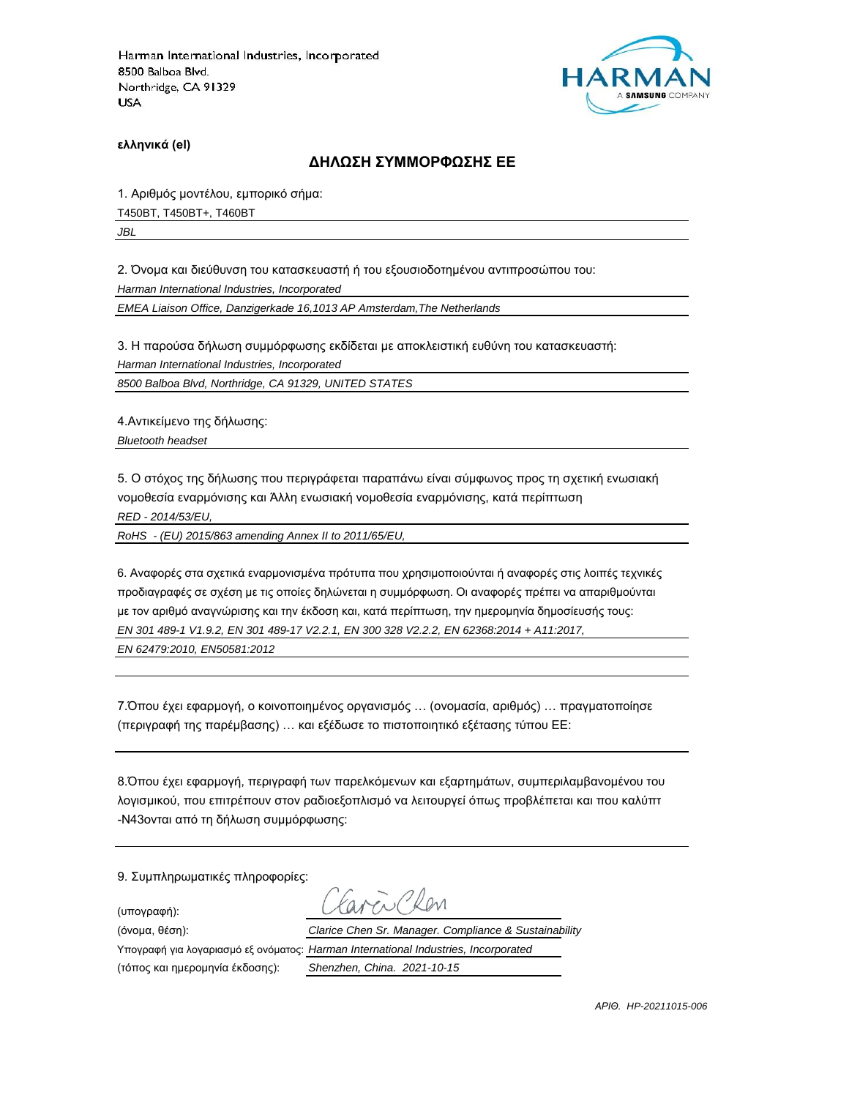

**ελληνικά (el)**

#### **ΔΗΛΩΣΗ ΣΥΜΜΟΡΦΩΣΗΣ ΕΕ**

1. Αριθμός μοντέλου, εμπορικό σήμα: T450BT, T450BT+, T460BT *JBL*

2. Όνομα και διεύθυνση του κατασκευαστή ή του εξουσιοδοτημένου αντιπροσώπου του:

*Harman International Industries, Incorporated*

*EMEA Liaison Office, Danzigerkade 16,1013 AP Amsterdam,The Netherlands*

3. Η παρούσα δήλωση συμμόρφωσης εκδίδεται με αποκλειστική ευθύνη του κατασκευαστή:

*Harman International Industries, Incorporated*

*8500 Balboa Blvd, Northridge, CA 91329, UNITED STATES*

4.Αντικείμενο της δήλωσης:

*Bluetooth headset*

5. Ο στόχος της δήλωσης που περιγράφεται παραπάνω είναι σύμφωνος προς τη σχετική ενωσιακή νομοθεσία εναρμόνισης και Άλλη ενωσιακή νομοθεσία εναρμόνισης, κατά περίπτωση

*RED - 2014/53/EU,*

*RoHS - (EU) 2015/863 amending Annex II to 2011/65/EU,*

6. Αναφορές στα σχετικά εναρμονισμένα πρότυπα που χρησιμοποιούνται ή αναφορές στις λοιπές τεχνικές προδιαγραφές σε σχέση με τις οποίες δηλώνεται η συμμόρφωση. Οι αναφορές πρέπει να απαριθμούνται με τον αριθμό αναγνώρισης και την έκδοση και, κατά περίπτωση, την ημερομηνία δημοσίευσής τους: *EN 301 489-1 V1.9.2, EN 301 489-17 V2.2.1, EN 300 328 V2.2.2, EN 62368:2014 + A11:2017,* 

*EN 62479:2010, EN50581:2012*

7.Όπου έχει εφαρμογή, ο κοινοποιημένος οργανισμός … (ονομασία, αριθμός) … πραγματοποίησε (περιγραφή της παρέμβασης) … και εξέδωσε το πιστοποιητικό εξέτασης τύπου ΕΕ:

8.Όπου έχει εφαρμογή, περιγραφή των παρελκόμενων και εξαρτημάτων, συμπεριλαμβανομένου του λογισμικού, που επιτρέπουν στον ραδιοεξοπλισμό να λειτουργεί όπως προβλέπεται και που καλύπτ -N43ονται από τη δήλωση συμμόρφωσης:

9. Συμπληρωματικές πληροφορίες:

(υπογραφή):

res Clar (όνομα, θέση): *Clarice Chen Sr. Manager. Compliance & Sustainability* Υπογραφή για λογαριασμό εξ ονόματος: *Harman International Industries, Incorporated*

(τόπος και ημερομηνία έκδοσης): *Shenzhen, China. 2021-10-15*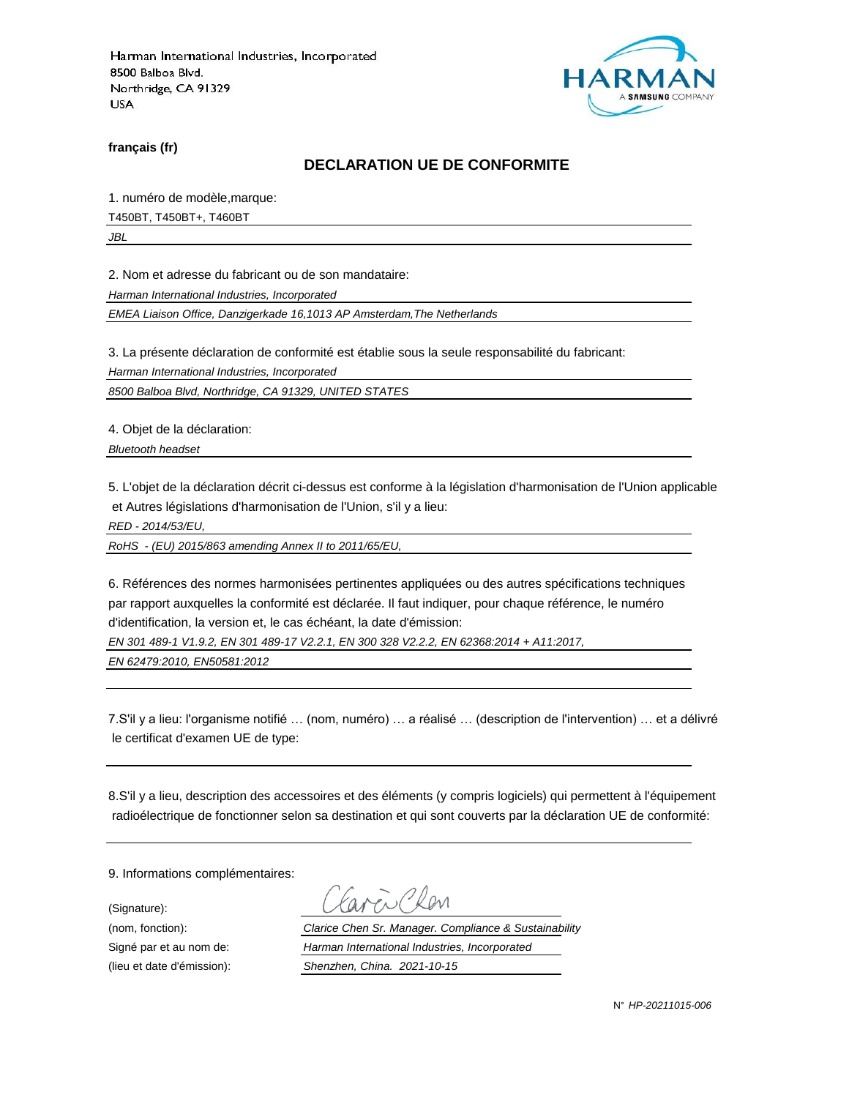

**français (fr)**

#### **DECLARATION UE DE CONFORMITE**

1. numéro de modèle,marque:

T450BT, T450BT+, T460BT

*JBL*

2. Nom et adresse du fabricant ou de son mandataire:

*Harman International Industries, Incorporated*

*EMEA Liaison Office, Danzigerkade 16,1013 AP Amsterdam,The Netherlands*

3. La présente déclaration de conformité est établie sous la seule responsabilité du fabricant:

*Harman International Industries, Incorporated*

*8500 Balboa Blvd, Northridge, CA 91329, UNITED STATES*

4. Objet de la déclaration:

*Bluetooth headset*

5. L'objet de la déclaration décrit ci-dessus est conforme à la législation d'harmonisation de l'Union applicable et Autres législations d'harmonisation de l'Union, s'il y a lieu:

*RED - 2014/53/EU,*

*RoHS - (EU) 2015/863 amending Annex II to 2011/65/EU,*

6. Références des normes harmonisées pertinentes appliquées ou des autres spécifications techniques par rapport auxquelles la conformité est déclarée. Il faut indiquer, pour chaque référence, le numéro d'identification, la version et, le cas échéant, la date d'émission:

*EN 301 489-1 V1.9.2, EN 301 489-17 V2.2.1, EN 300 328 V2.2.2, EN 62368:2014 + A11:2017,* 

*EN 62479:2010, EN50581:2012*

7.S'il y a lieu: l'organisme notifié … (nom, numéro) … a réalisé … (description de l'intervention) … et a délivré le certificat d'examen UE de type:

8.S'il y a lieu, description des accessoires et des éléments (y compris logiciels) qui permettent à l'équipement radioélectrique de fonctionner selon sa destination et qui sont couverts par la déclaration UE de conformité:

9. Informations complémentaires:

(Signature):

(nom, fonction): *Clarice Chen Sr. Manager. Compliance & Sustainability* Signé par et au nom de: *Harman International Industries, Incorporated* (lieu et date d'émission): *Shenzhen, China. 2021-10-15*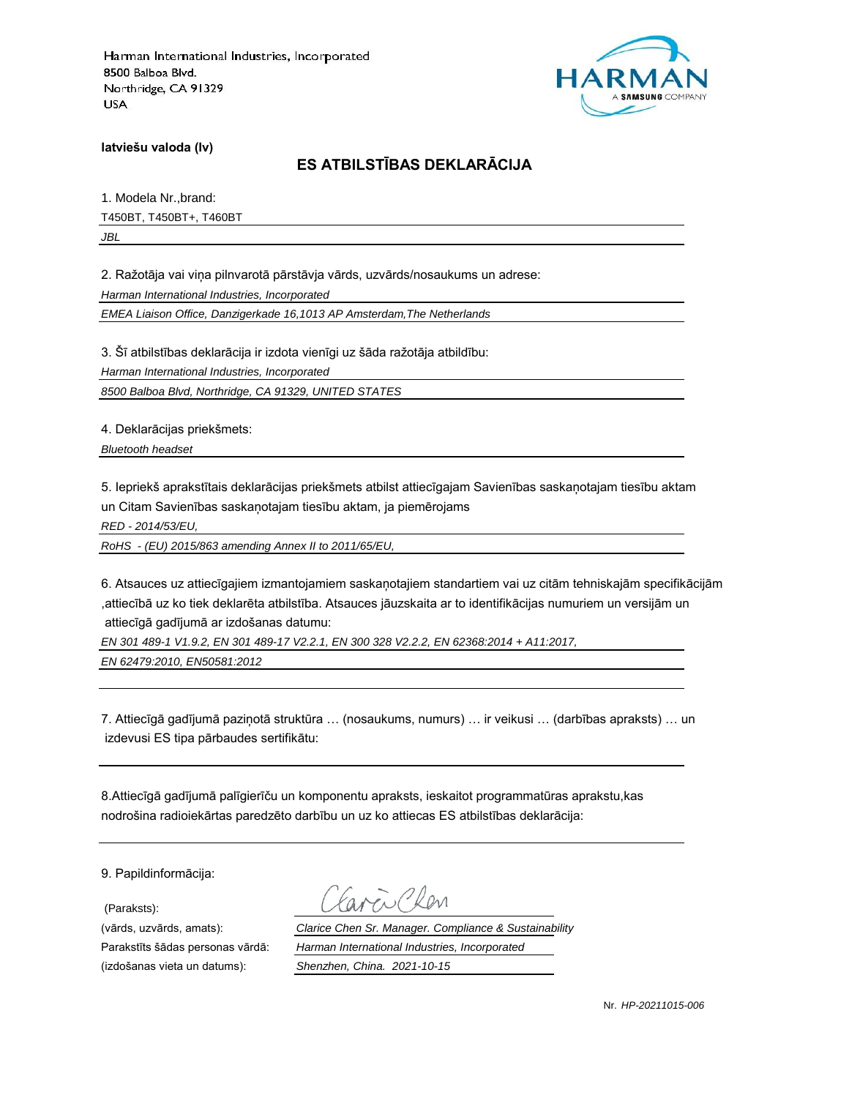

**latviešu valoda (lv)**

# **ES ATBILSTĪBAS DEKLARĀCIJA**

1. Modela Nr.,brand: T450BT, T450BT+, T460BT *JBL*

2. Ražotāja vai viņa pilnvarotā pārstāvja vārds, uzvārds/nosaukums un adrese:

*Harman International Industries, Incorporated*

*EMEA Liaison Office, Danzigerkade 16,1013 AP Amsterdam,The Netherlands*

3. Šī atbilstības deklarācija ir izdota vienīgi uz šāda ražotāja atbildību:

*Harman International Industries, Incorporated*

*8500 Balboa Blvd, Northridge, CA 91329, UNITED STATES*

4. Deklarācijas priekšmets:

*Bluetooth headset*

5. Iepriekš aprakstītais deklarācijas priekšmets atbilst attiecīgajam Savienības saskaņotajam tiesību aktam un Citam Savienības saskaņotajam tiesību aktam, ja piemērojams

*RED - 2014/53/EU,*

*RoHS - (EU) 2015/863 amending Annex II to 2011/65/EU,*

6. Atsauces uz attiecīgajiem izmantojamiem saskaņotajiem standartiem vai uz citām tehniskajām specifikācijām ,attiecībā uz ko tiek deklarēta atbilstība. Atsauces jāuzskaita ar to identifikācijas numuriem un versijām un attiecīgā gadījumā ar izdošanas datumu:

*EN 301 489-1 V1.9.2, EN 301 489-17 V2.2.1, EN 300 328 V2.2.2, EN 62368:2014 + A11:2017,* 

*EN 62479:2010, EN50581:2012*

7. Attiecīgā gadījumā paziņotā struktūra … (nosaukums, numurs) … ir veikusi … (darbības apraksts) … un izdevusi ES tipa pārbaudes sertifikātu:

8.Attiecīgā gadījumā palīgierīču un komponentu apraksts, ieskaitot programmatūras aprakstu,kas nodrošina radioiekārtas paredzēto darbību un uz ko attiecas ES atbilstības deklarācija:

9. Papildinformācija:

(Paraksts):

(vārds, uzvārds, amats): *Clarice Chen Sr. Manager. Compliance & Sustainability* Parakstīts šādas personas vārdā: *Harman International Industries, Incorporated* (izdošanas vieta un datums): *Shenzhen, China. 2021-10-15*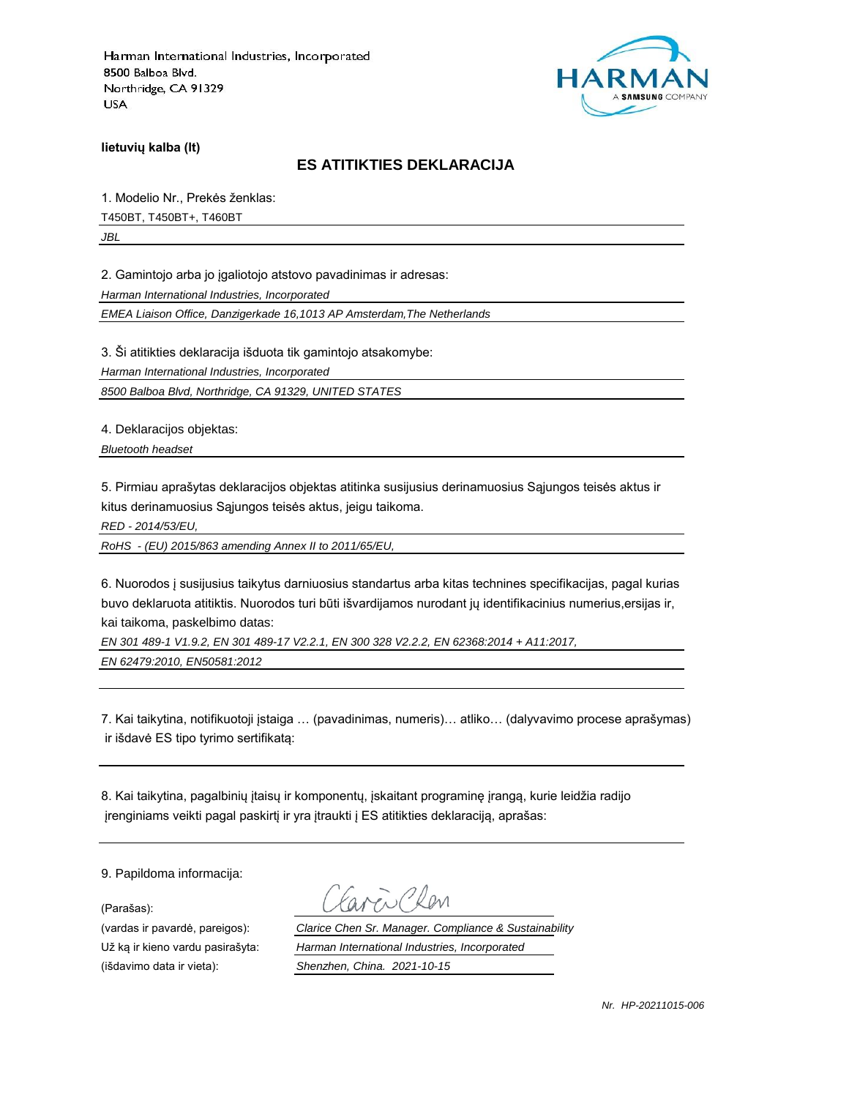

**lietuvių kalba (lt)**

### **ES ATITIKTIES DEKLARACIJA**

1. Modelio Nr., Prekės ženklas: T450BT, T450BT+, T460BT

*JBL*

2. Gamintojo arba jo įgaliotojo atstovo pavadinimas ir adresas:

*Harman International Industries, Incorporated*

*EMEA Liaison Office, Danzigerkade 16,1013 AP Amsterdam,The Netherlands*

3. Ši atitikties deklaracija išduota tik gamintojo atsakomybe:

*Harman International Industries, Incorporated*

*8500 Balboa Blvd, Northridge, CA 91329, UNITED STATES*

4. Deklaracijos objektas:

*Bluetooth headset*

5. Pirmiau aprašytas deklaracijos objektas atitinka susijusius derinamuosius Sąjungos teisės aktus ir kitus derinamuosius Sąjungos teisės aktus, jeigu taikoma.

*RED - 2014/53/EU,*

*RoHS - (EU) 2015/863 amending Annex II to 2011/65/EU,*

6. Nuorodos į susijusius taikytus darniuosius standartus arba kitas technines specifikacijas, pagal kurias buvo deklaruota atitiktis. Nuorodos turi būti išvardijamos nurodant jų identifikacinius numerius,ersijas ir, kai taikoma, paskelbimo datas:

*EN 301 489-1 V1.9.2, EN 301 489-17 V2.2.1, EN 300 328 V2.2.2, EN 62368:2014 + A11:2017,* 

*EN 62479:2010, EN50581:2012*

7. Kai taikytina, notifikuotoji įstaiga … (pavadinimas, numeris)… atliko… (dalyvavimo procese aprašymas) ir išdavė ES tipo tyrimo sertifikatą:

8. Kai taikytina, pagalbinių įtaisų ir komponentų, įskaitant programinę įrangą, kurie leidžia radijo įrenginiams veikti pagal paskirtį ir yra įtraukti į ES atitikties deklaraciją, aprašas:

9. Papildoma informacija:

(Parašas):

(vardas ir pavardė, pareigos): *Clarice Chen Sr. Manager. Compliance & Sustainability* Už ką ir kieno vardu pasirašyta: *Harman International Industries, Incorporated* (išdavimo data ir vieta): *Shenzhen, China. 2021-10-15*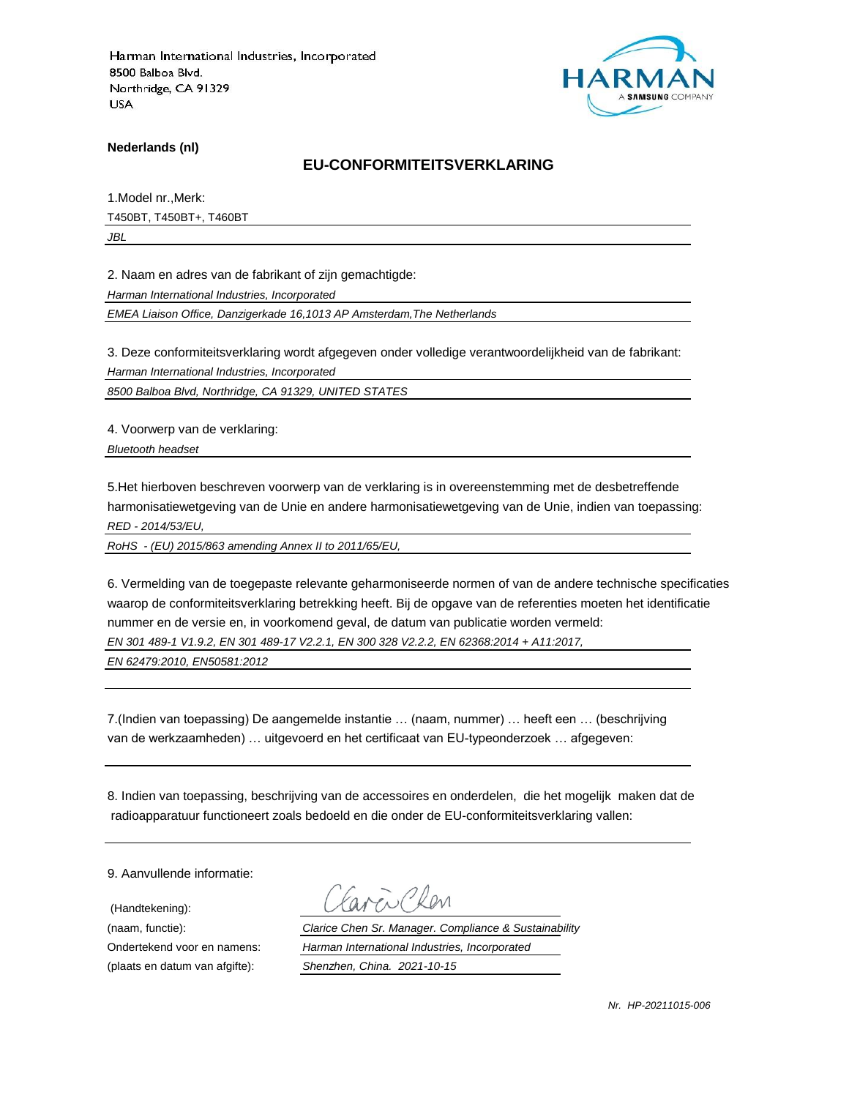

**Nederlands (nl)**

#### **EU-CONFORMITEITSVERKLARING**

1.Model nr.,Merk: T450BT, T450BT+, T460BT

*JBL*

2. Naam en adres van de fabrikant of zijn gemachtigde:

*Harman International Industries, Incorporated*

*EMEA Liaison Office, Danzigerkade 16,1013 AP Amsterdam,The Netherlands*

3. Deze conformiteitsverklaring wordt afgegeven onder volledige verantwoordelijkheid van de fabrikant:

*Harman International Industries, Incorporated*

*8500 Balboa Blvd, Northridge, CA 91329, UNITED STATES*

4. Voorwerp van de verklaring:

*Bluetooth headset*

5.Het hierboven beschreven voorwerp van de verklaring is in overeenstemming met de desbetreffende harmonisatiewetgeving van de Unie en andere harmonisatiewetgeving van de Unie, indien van toepassing: *RED - 2014/53/EU,*

*RoHS - (EU) 2015/863 amending Annex II to 2011/65/EU,*

6. Vermelding van de toegepaste relevante geharmoniseerde normen of van de andere technische specificaties waarop de conformiteitsverklaring betrekking heeft. Bij de opgave van de referenties moeten het identificatie nummer en de versie en, in voorkomend geval, de datum van publicatie worden vermeld:

*EN 301 489-1 V1.9.2, EN 301 489-17 V2.2.1, EN 300 328 V2.2.2, EN 62368:2014 + A11:2017,* 

*EN 62479:2010, EN50581:2012*

7.(Indien van toepassing) De aangemelde instantie … (naam, nummer) … heeft een … (beschrijving van de werkzaamheden) … uitgevoerd en het certificaat van EU-typeonderzoek … afgegeven:

8. Indien van toepassing, beschrijving van de accessoires en onderdelen, die het mogelijk maken dat de radioapparatuur functioneert zoals bedoeld en die onder de EU-conformiteitsverklaring vallen:

9. Aanvullende informatie:

(Handtekening):

(naam, functie): *Clarice Chen Sr. Manager. Compliance & Sustainability* Ondertekend voor en namens: *Harman International Industries, Incorporated* (plaats en datum van afgifte): *Shenzhen, China. 2021-10-15*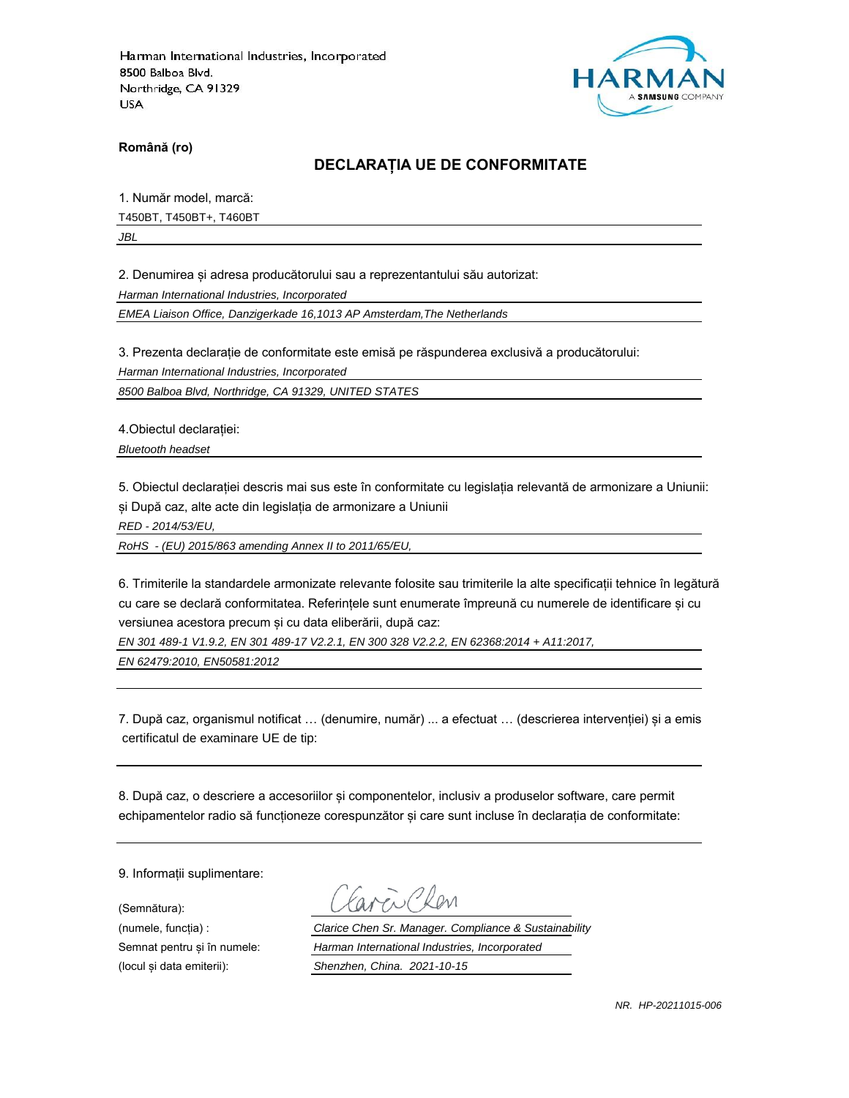

**Română (ro)**

### **DECLARAȚIA UE DE CONFORMITATE**

1. Număr model, marcă:

T450BT, T450BT+, T460BT

*JBL*

2. Denumirea și adresa producătorului sau a reprezentantului său autorizat:

*Harman International Industries, Incorporated*

*EMEA Liaison Office, Danzigerkade 16,1013 AP Amsterdam,The Netherlands*

3. Prezenta declarație de conformitate este emisă pe răspunderea exclusivă a producătorului:

*Harman International Industries, Incorporated*

*8500 Balboa Blvd, Northridge, CA 91329, UNITED STATES*

4.Obiectul declarației:

*Bluetooth headset*

5. Obiectul declarației descris mai sus este în conformitate cu legislația relevantă de armonizare a Uniunii: și După caz, alte acte din legislația de armonizare a Uniunii

*RED - 2014/53/EU,*

*RoHS - (EU) 2015/863 amending Annex II to 2011/65/EU,*

6. Trimiterile la standardele armonizate relevante folosite sau trimiterile la alte specificații tehnice în legătură cu care se declară conformitatea. Referințele sunt enumerate împreună cu numerele de identificare și cu versiunea acestora precum și cu data eliberării, după caz:

*EN 301 489-1 V1.9.2, EN 301 489-17 V2.2.1, EN 300 328 V2.2.2, EN 62368:2014 + A11:2017,* 

*EN 62479:2010, EN50581:2012*

7. După caz, organismul notificat … (denumire, număr) ... a efectuat … (descrierea intervenției) și a emis certificatul de examinare UE de tip:

8. După caz, o descriere a accesoriilor și componentelor, inclusiv a produselor software, care permit echipamentelor radio să funcționeze corespunzător și care sunt incluse în declarația de conformitate:

9. Informații suplimentare:

(Semnătura):

(numele, funcția) : *Clarice Chen Sr. Manager. Compliance & Sustainability* Semnat pentru și în numele: *Harman International Industries, Incorporated* (locul și data emiterii): *Shenzhen, China. 2021-10-15*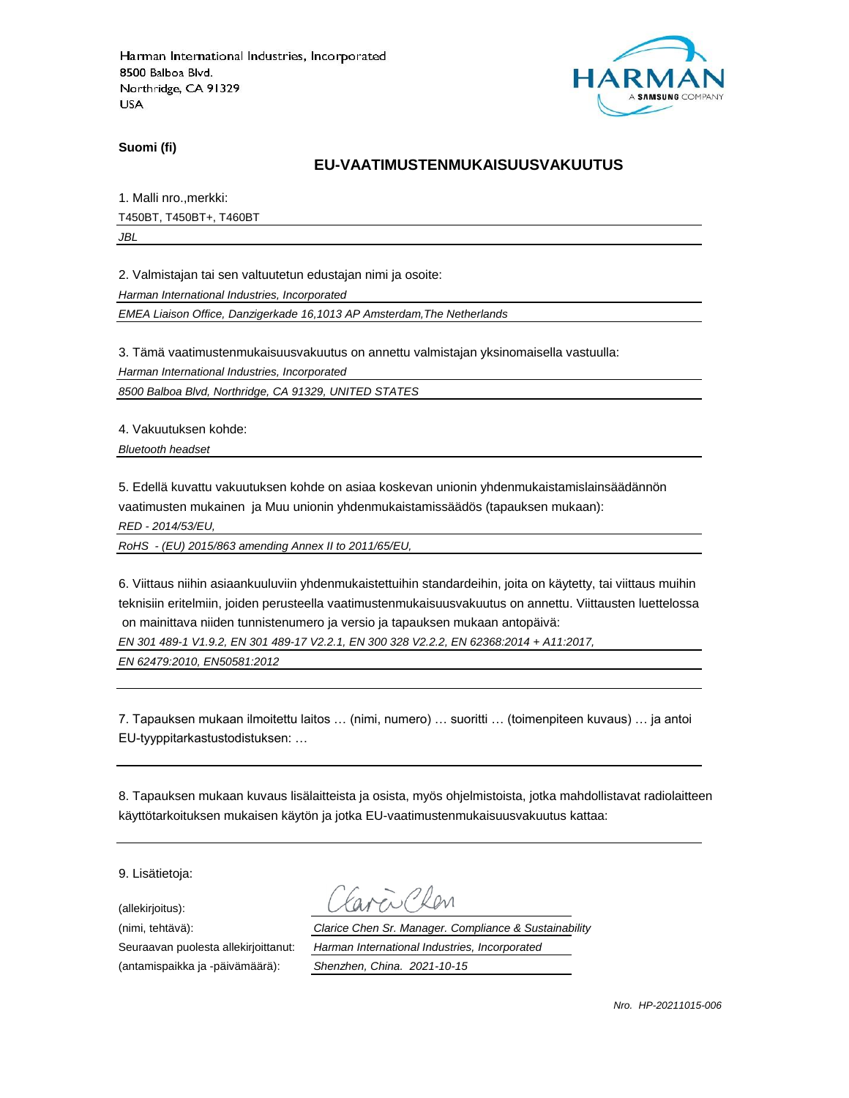

**Suomi (fi)**

### **EU-VAATIMUSTENMUKAISUUSVAKUUTUS**

1. Malli nro.,merkki: T450BT, T450BT+, T460BT

*JBL*

2. Valmistajan tai sen valtuutetun edustajan nimi ja osoite:

*Harman International Industries, Incorporated*

*EMEA Liaison Office, Danzigerkade 16,1013 AP Amsterdam,The Netherlands*

3. Tämä vaatimustenmukaisuusvakuutus on annettu valmistajan yksinomaisella vastuulla:

*Harman International Industries, Incorporated*

*8500 Balboa Blvd, Northridge, CA 91329, UNITED STATES*

4. Vakuutuksen kohde:

*Bluetooth headset*

5. Edellä kuvattu vakuutuksen kohde on asiaa koskevan unionin yhdenmukaistamislainsäädännön vaatimusten mukainen ja Muu unionin yhdenmukaistamissäädös (tapauksen mukaan):

*RED - 2014/53/EU,*

*RoHS - (EU) 2015/863 amending Annex II to 2011/65/EU,*

6. Viittaus niihin asiaankuuluviin yhdenmukaistettuihin standardeihin, joita on käytetty, tai viittaus muihin teknisiin eritelmiin, joiden perusteella vaatimustenmukaisuusvakuutus on annettu. Viittausten luettelossa on mainittava niiden tunnistenumero ja versio ja tapauksen mukaan antopäivä:

*EN 301 489-1 V1.9.2, EN 301 489-17 V2.2.1, EN 300 328 V2.2.2, EN 62368:2014 + A11:2017,* 

*EN 62479:2010, EN50581:2012*

7. Tapauksen mukaan ilmoitettu laitos … (nimi, numero) … suoritti … (toimenpiteen kuvaus) … ja antoi EU-tyyppitarkastustodistuksen: …

8. Tapauksen mukaan kuvaus lisälaitteista ja osista, myös ohjelmistoista, jotka mahdollistavat radiolaitteen käyttötarkoituksen mukaisen käytön ja jotka EU-vaatimustenmukaisuusvakuutus kattaa:

9. Lisätietoja:

(allekirjoitus):

(antamispaikka ja -päivämäärä): *Shenzhen, China. 2021-10-15*

(nimi, tehtävä): *Clarice Chen Sr. Manager. Compliance & Sustainability* Seuraavan puolesta allekirjoittanut: *Harman International Industries, Incorporated*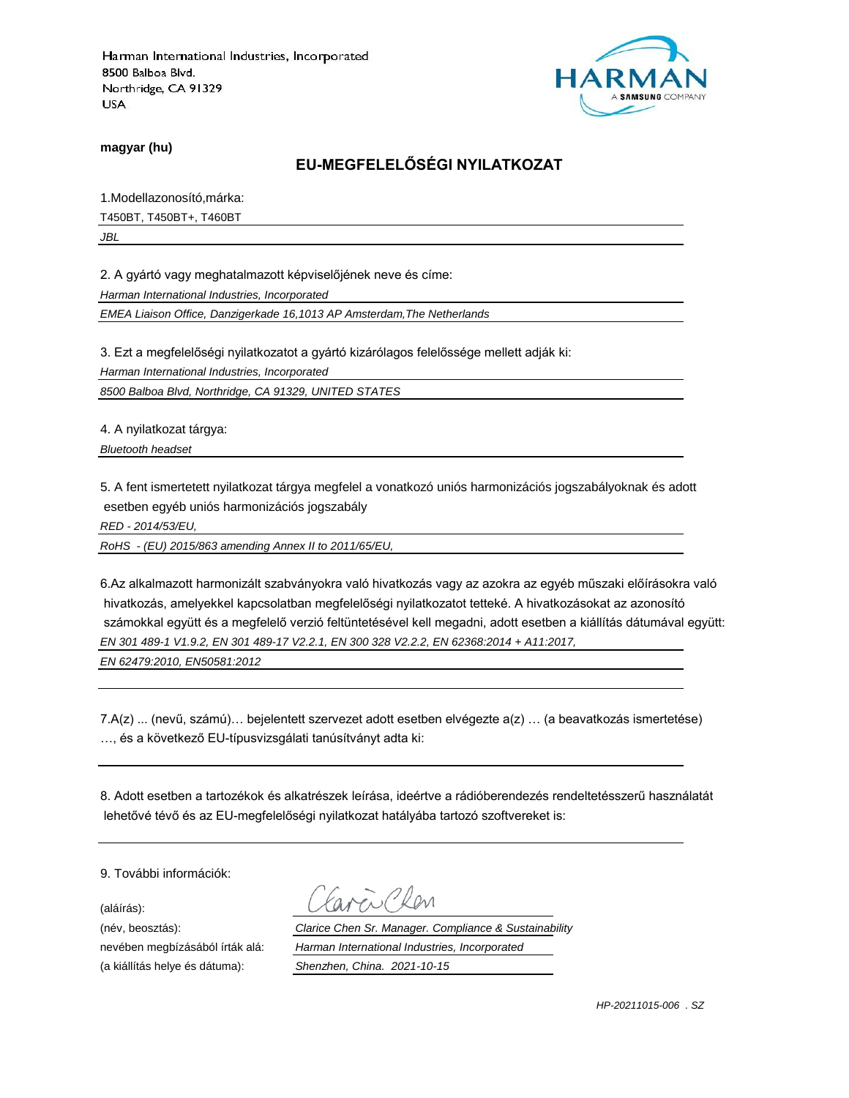

**magyar (hu)**

# **EU-MEGFELELŐSÉGI NYILATKOZAT**

1.Modellazonosító,márka: T450BT, T450BT+, T460BT

*JBL*

2. A gyártó vagy meghatalmazott képviselőjének neve és címe:

*Harman International Industries, Incorporated*

*EMEA Liaison Office, Danzigerkade 16,1013 AP Amsterdam,The Netherlands*

3. Ezt a megfelelőségi nyilatkozatot a gyártó kizárólagos felelőssége mellett adják ki:

*Harman International Industries, Incorporated*

*8500 Balboa Blvd, Northridge, CA 91329, UNITED STATES*

4. A nyilatkozat tárgya:

*Bluetooth headset*

5. A fent ismertetett nyilatkozat tárgya megfelel a vonatkozó uniós harmonizációs jogszabályoknak és adott esetben egyéb uniós harmonizációs jogszabály

*RED - 2014/53/EU,*

*RoHS - (EU) 2015/863 amending Annex II to 2011/65/EU,*

6.Az alkalmazott harmonizált szabványokra való hivatkozás vagy az azokra az egyéb műszaki előírásokra való hivatkozás, amelyekkel kapcsolatban megfelelőségi nyilatkozatot tetteké. A hivatkozásokat az azonosító számokkal együtt és a megfelelő verzió feltüntetésével kell megadni, adott esetben a kiállítás dátumával együtt: *EN 301 489-1 V1.9.2, EN 301 489-17 V2.2.1, EN 300 328 V2.2.2, EN 62368:2014 + A11:2017,* 

*EN 62479:2010, EN50581:2012*

7.A(z) ... (nevű, számú)… bejelentett szervezet adott esetben elvégezte a(z) … (a beavatkozás ismertetése) …, és a következő EU-típusvizsgálati tanúsítványt adta ki:

8. Adott esetben a tartozékok és alkatrészek leírása, ideértve a rádióberendezés rendeltetésszerű használatát lehetővé tévő és az EU-megfelelőségi nyilatkozat hatályába tartozó szoftvereket is:

9. További információk:

(aláírás):

(a kiállítás helye és dátuma): *Shenzhen, China. 2021-10-15*

(név, beosztás): *Clarice Chen Sr. Manager. Compliance & Sustainability* nevében megbízásából írták alá: *Harman International Industries, Incorporated*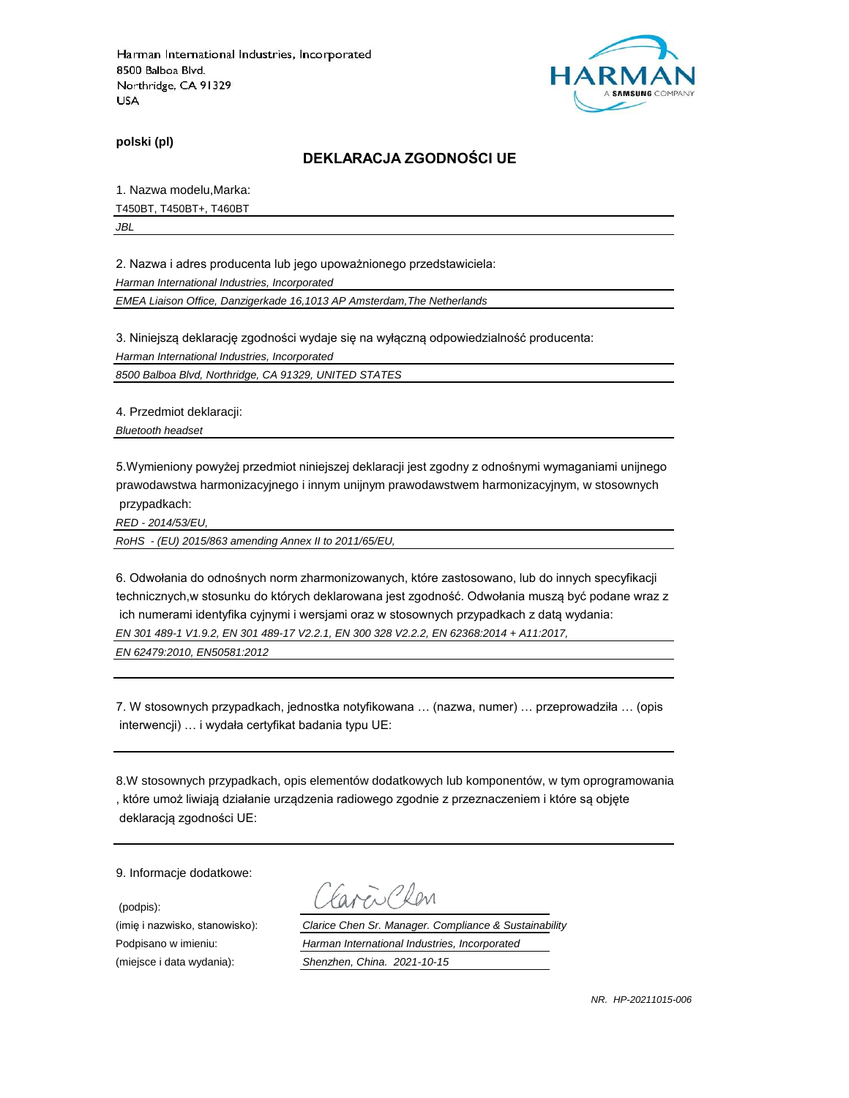

**polski (pl)**

#### **DEKLARACJA ZGODNOŚCI UE**

1. Nazwa modelu,Marka:

T450BT, T450BT+, T460BT

*JBL*

2. Nazwa i adres producenta lub jego upoważnionego przedstawiciela:

*Harman International Industries, Incorporated*

*EMEA Liaison Office, Danzigerkade 16,1013 AP Amsterdam,The Netherlands*

3. Niniejszą deklarację zgodności wydaje się na wyłączną odpowiedzialność producenta:

*Harman International Industries, Incorporated*

*8500 Balboa Blvd, Northridge, CA 91329, UNITED STATES*

4. Przedmiot deklaracji:

*Bluetooth headset*

5.Wymieniony powyżej przedmiot niniejszej deklaracji jest zgodny z odnośnymi wymaganiami unijnego prawodawstwa harmonizacyjnego i innym unijnym prawodawstwem harmonizacyjnym, w stosownych przypadkach:

*RED - 2014/53/EU,*

*RoHS - (EU) 2015/863 amending Annex II to 2011/65/EU,*

6. Odwołania do odnośnych norm zharmonizowanych, które zastosowano, lub do innych specyfikacji technicznych,w stosunku do których deklarowana jest zgodność. Odwołania muszą być podane wraz z ich numerami identyfika cyjnymi i wersjami oraz w stosownych przypadkach z datą wydania: *EN 301 489-1 V1.9.2, EN 301 489-17 V2.2.1, EN 300 328 V2.2.2, EN 62368:2014 + A11:2017,* 

*EN 62479:2010, EN50581:2012*

7. W stosownych przypadkach, jednostka notyfikowana … (nazwa, numer) … przeprowadziła … (opis interwencji) … i wydała certyfikat badania typu UE:

8.W stosownych przypadkach, opis elementów dodatkowych lub komponentów, w tym oprogramowania , które umoż liwiają działanie urządzenia radiowego zgodnie z przeznaczeniem i które są objęte deklaracją zgodności UE:

9. Informacje dodatkowe:

(podpis):

 $\sum_{\ell}$ 

(imię i nazwisko, stanowisko): *Clarice Chen Sr. Manager. Compliance & Sustainability* Podpisano w imieniu: *Harman International Industries, Incorporated* (miejsce i data wydania): *Shenzhen, China. 2021-10-15*

*NR. HP-20211015-006*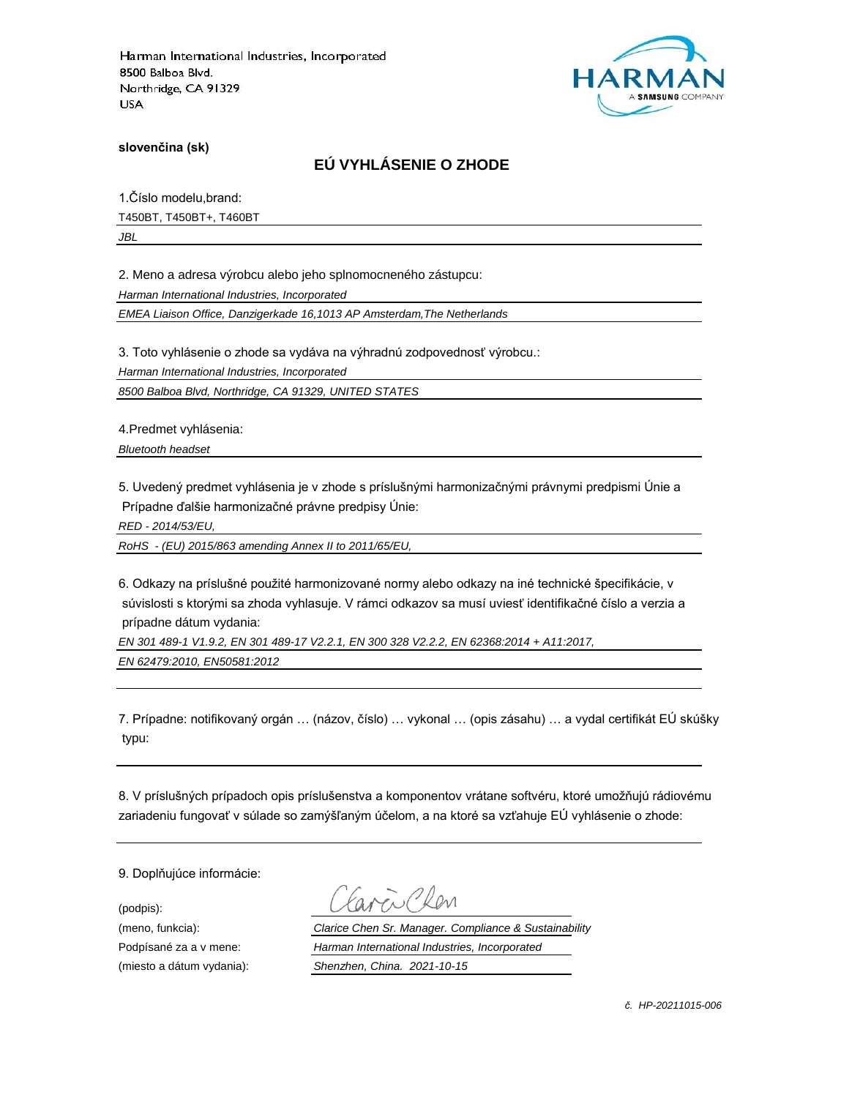

**slovenčina (sk)**

# **EÚ VYHLÁSENIE O ZHODE**

1.Číslo modelu,brand: T450BT, T450BT+, T460BT

*JBL*

2. Meno a adresa výrobcu alebo jeho splnomocneného zástupcu:

*Harman International Industries, Incorporated*

*EMEA Liaison Office, Danzigerkade 16,1013 AP Amsterdam,The Netherlands*

3. Toto vyhlásenie o zhode sa vydáva na výhradnú zodpovednosť výrobcu.:

*Harman International Industries, Incorporated*

*8500 Balboa Blvd, Northridge, CA 91329, UNITED STATES*

4.Predmet vyhlásenia:

*Bluetooth headset*

5. Uvedený predmet vyhlásenia je v zhode s príslušnými harmonizačnými právnymi predpismi Únie a Prípadne ďalšie harmonizačné právne predpisy Únie:

*RED - 2014/53/EU,*

*RoHS - (EU) 2015/863 amending Annex II to 2011/65/EU,*

6. Odkazy na príslušné použité harmonizované normy alebo odkazy na iné technické špecifikácie, v súvislosti s ktorými sa zhoda vyhlasuje. V rámci odkazov sa musí uviesť identifikačné číslo a verzia a prípadne dátum vydania:

*EN 301 489-1 V1.9.2, EN 301 489-17 V2.2.1, EN 300 328 V2.2.2, EN 62368:2014 + A11:2017, EN 62479:2010, EN50581:2012*

7. Prípadne: notifikovaný orgán … (názov, číslo) … vykonal … (opis zásahu) … a vydal certifikát EÚ skúšky typu:

8. V príslušných prípadoch opis príslušenstva a komponentov vrátane softvéru, ktoré umožňujú rádiovému zariadeniu fungovať v súlade so zamýšľaným účelom, a na ktoré sa vzťahuje EÚ vyhlásenie o zhode:

9. Doplňujúce informácie:

(podpis):

(meno, funkcia): *Clarice Chen Sr. Manager. Compliance & Sustainability* Podpísané za a v mene: *Harman International Industries, Incorporated* (miesto a dátum vydania): *Shenzhen, China. 2021-10-15*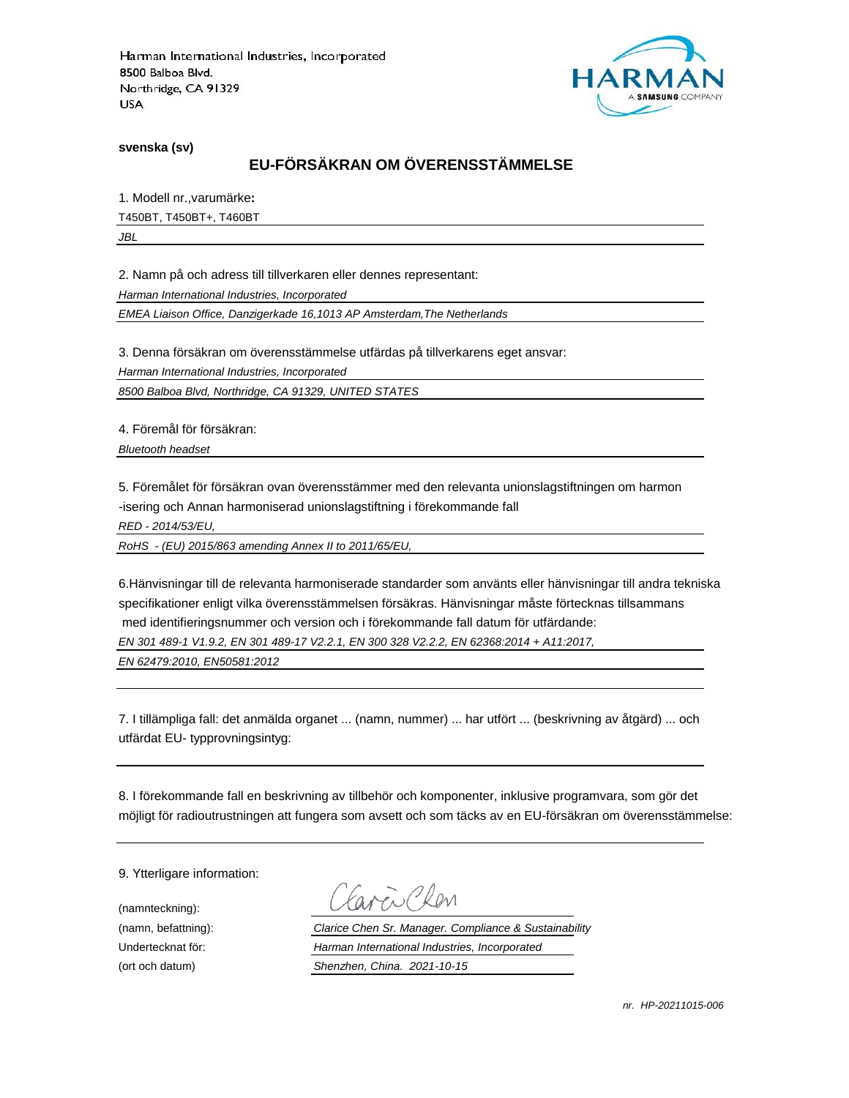

**svenska (sv)**

# **EU-FÖRSÄKRAN OM ÖVERENSSTÄMMELSE**

1. Modell nr.,varumärke**:** T450BT, T450BT+, T460BT *JBL*

2. Namn på och adress till tillverkaren eller dennes representant:

*Harman International Industries, Incorporated*

*EMEA Liaison Office, Danzigerkade 16,1013 AP Amsterdam,The Netherlands*

3. Denna försäkran om överensstämmelse utfärdas på tillverkarens eget ansvar:

*Harman International Industries, Incorporated*

*8500 Balboa Blvd, Northridge, CA 91329, UNITED STATES*

4. Föremål för försäkran:

*Bluetooth headset*

5. Föremålet för försäkran ovan överensstämmer med den relevanta unionslagstiftningen om harmon -isering och Annan harmoniserad unionslagstiftning i förekommande fall

*RED - 2014/53/EU,*

*RoHS - (EU) 2015/863 amending Annex II to 2011/65/EU,*

6.Hänvisningar till de relevanta harmoniserade standarder som använts eller hänvisningar till andra tekniska specifikationer enligt vilka överensstämmelsen försäkras. Hänvisningar måste förtecknas tillsammans med identifieringsnummer och version och i förekommande fall datum för utfärdande:

*EN 301 489-1 V1.9.2, EN 301 489-17 V2.2.1, EN 300 328 V2.2.2, EN 62368:2014 + A11:2017,* 

*EN 62479:2010, EN50581:2012*

7. I tillämpliga fall: det anmälda organet ... (namn, nummer) ... har utfört ... (beskrivning av åtgärd) ... och utfärdat EU- typprovningsintyg:

8. I förekommande fall en beskrivning av tillbehör och komponenter, inklusive programvara, som gör det möjligt för radioutrustningen att fungera som avsett och som täcks av en EU-försäkran om överensstämmelse:

9. Ytterligare information:

(namnteckning):

Fre Clev

(namn, befattning): *Clarice Chen Sr. Manager. Compliance & Sustainability* Undertecknat för: *Harman International Industries, Incorporated* (ort och datum) *Shenzhen, China. 2021-10-15*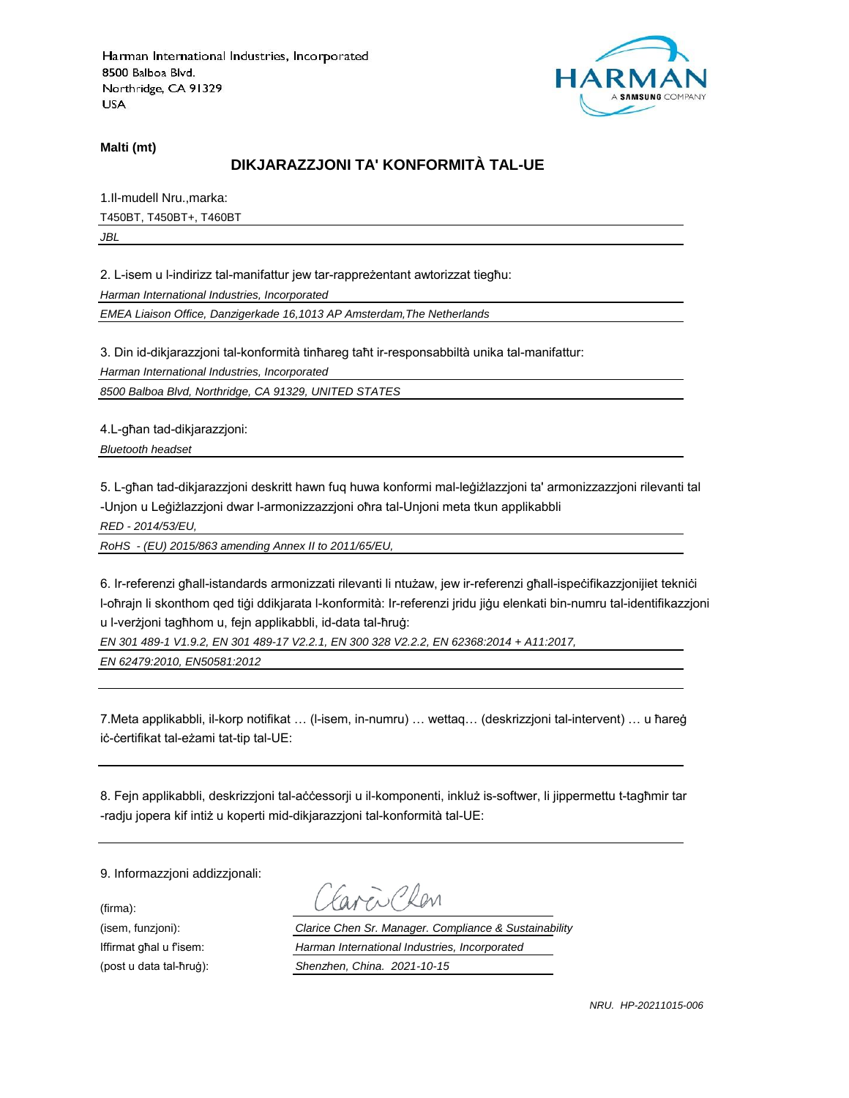

**Malti (mt)**

## **DIKJARAZZJONI TA' KONFORMITÀ TAL-UE**

1.Il-mudell Nru.,marka: T450BT, T450BT+, T460BT *JBL*

2. L-isem u l-indirizz tal-manifattur jew tar-rappreżentant awtorizzat tiegħu:

*Harman International Industries, Incorporated*

*EMEA Liaison Office, Danzigerkade 16,1013 AP Amsterdam,The Netherlands*

3. Din id-dikjarazzjoni tal-konformità tinħareg taħt ir-responsabbiltà unika tal-manifattur:

*Harman International Industries, Incorporated*

*8500 Balboa Blvd, Northridge, CA 91329, UNITED STATES*

4.L-għan tad-dikjarazzjoni:

*Bluetooth headset*

5. L-għan tad-dikjarazzjoni deskritt hawn fuq huwa konformi mal-leġiżlazzjoni ta' armonizzazzjoni rilevanti tal -Unjon u Leġiżlazzjoni dwar l-armonizzazzjoni oħra tal-Unjoni meta tkun applikabbli

*RED - 2014/53/EU,*

*RoHS - (EU) 2015/863 amending Annex II to 2011/65/EU,*

6. Ir-referenzi għall-istandards armonizzati rilevanti li ntużaw, jew ir-referenzi għall-ispeċifikazzjonijiet tekniċi l-oħrajn li skonthom qed tiġi ddikjarata l-konformità: Ir-referenzi jridu jiġu elenkati bin-numru tal-identifikazzjoni u l-verżjoni tagħhom u, fejn applikabbli, id-data tal-ħruġ:

*EN 301 489-1 V1.9.2, EN 301 489-17 V2.2.1, EN 300 328 V2.2.2, EN 62368:2014 + A11:2017,* 

*EN 62479:2010, EN50581:2012*

7.Meta applikabbli, il-korp notifikat … (l-isem, in-numru) … wettaq… (deskrizzjoni tal-intervent) … u ħareġ iċ-ċertifikat tal-eżami tat-tip tal-UE:

8. Fejn applikabbli, deskrizzjoni tal-aċċessorji u il-komponenti, inkluż is-softwer, li jippermettu t-tagħmir tar -radju jopera kif intiż u koperti mid-dikjarazzjoni tal-konformità tal-UE:

9. Informazzjoni addizzjonali:

(firma):

EN CRON

(isem, funzjoni): *Clarice Chen Sr. Manager. Compliance & Sustainability* Iffirmat għal u f'isem: *Harman International Industries, Incorporated* (post u data tal-ħruġ): *Shenzhen, China. 2021-10-15*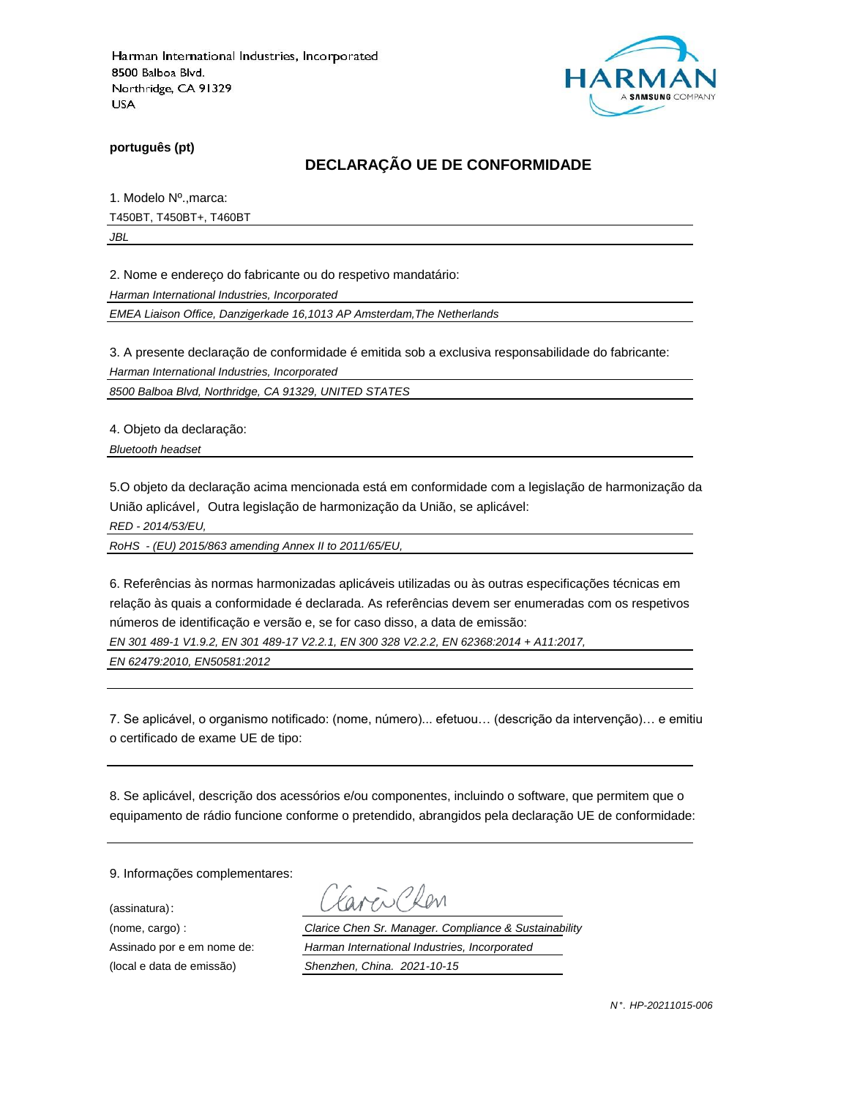

**português (pt)**

## **DECLARAÇÃO UE DE CONFORMIDADE**

1. Modelo Nº.,marca: T450BT, T450BT+, T460BT

*JBL*

2. Nome e endereço do fabricante ou do respetivo mandatário:

*Harman International Industries, Incorporated*

*EMEA Liaison Office, Danzigerkade 16,1013 AP Amsterdam,The Netherlands*

3. A presente declaração de conformidade é emitida sob a exclusiva responsabilidade do fabricante:

*Harman International Industries, Incorporated*

*8500 Balboa Blvd, Northridge, CA 91329, UNITED STATES*

4. Objeto da declaração:

*Bluetooth headset*

5.O objeto da declaração acima mencionada está em conformidade com a legislação de harmonização da União aplicável, Outra legislação de harmonização da União, se aplicável:

*RED - 2014/53/EU,*

*RoHS - (EU) 2015/863 amending Annex II to 2011/65/EU,*

6. Referências às normas harmonizadas aplicáveis utilizadas ou às outras especificações técnicas em relação às quais a conformidade é declarada. As referências devem ser enumeradas com os respetivos números de identificação e versão e, se for caso disso, a data de emissão:

*EN 301 489-1 V1.9.2, EN 301 489-17 V2.2.1, EN 300 328 V2.2.2, EN 62368:2014 + A11:2017,* 

*EN 62479:2010, EN50581:2012*

7. Se aplicável, o organismo notificado: (nome, número)... efetuou… (descrição da intervenção)… e emitiu o certificado de exame UE de tipo:

8. Se aplicável, descrição dos acessórios e/ou componentes, incluindo o software, que permitem que o equipamento de rádio funcione conforme o pretendido, abrangidos pela declaração UE de conformidade:

9. Informações complementares:

(assinatura):

Chen

(nome, cargo) : *Clarice Chen Sr. Manager. Compliance & Sustainability* Assinado por e em nome de: *Harman International Industries, Incorporated* (local e data de emissão) *Shenzhen, China. 2021-10-15*